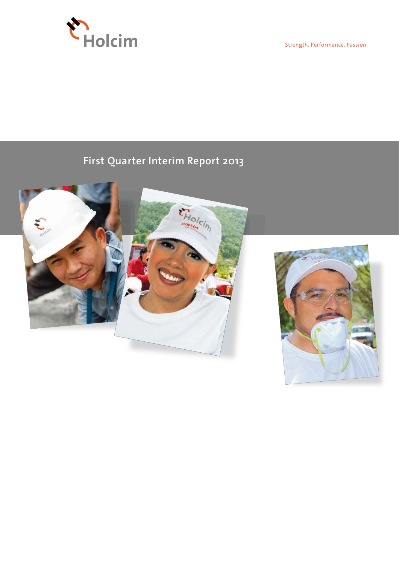

Strength. Performance. Passion.

# **First Quarter Interim Report 2013**



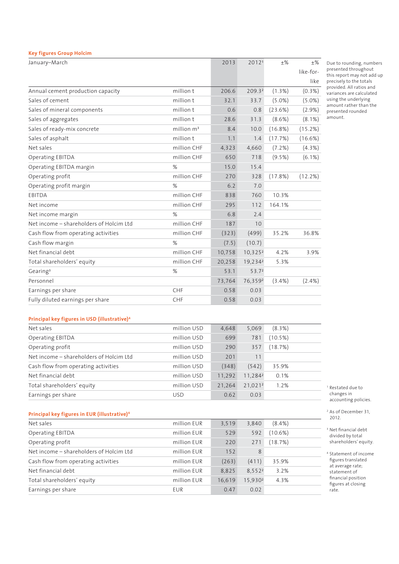| <b>Key figures Group Holcim</b>         |                        |        |                     |            |           |
|-----------------------------------------|------------------------|--------|---------------------|------------|-----------|
| January-March                           |                        | 2013   | 2012 <sup>1</sup>   | $+$ %      | $+$ %     |
|                                         |                        |        |                     |            | like-for- |
|                                         |                        |        |                     |            | like      |
| Annual cement production capacity       | million t              | 206.6  | 209.32              | $(1.3\%)$  | $(0.3\%)$ |
| Sales of cement                         | million t              | 32.1   | 33.7                | $(5.0\%)$  | $(5.0\%)$ |
| Sales of mineral components             | million t              | 0.6    | 0.8                 | (23.6%)    | $(2.9\%)$ |
| Sales of aggregates                     | million t              | 28.6   | 31.3                | $(8.6\%)$  | $(8.1\%)$ |
| Sales of ready-mix concrete             | million m <sup>3</sup> | 8.4    | 10.0                | $(16.8\%)$ | (15.2%)   |
| Sales of asphalt                        | million t              | 1.1    | 1.4                 | (17.7%)    | (16.6%)   |
| Net sales                               | million CHF            | 4,323  | 4,660               | $(7.2\%)$  | $(4.3\%)$ |
| Operating EBITDA                        | million CHF            | 650    | 718                 | $(9.5\%)$  | $(6.1\%)$ |
| Operating EBITDA margin                 | %                      | 15.0   | 15.4                |            |           |
| Operating profit                        | million CHF            | 270    | 328                 | (17.8%)    | (12.2%)   |
| Operating profit margin                 | %                      | 6.2    | 7.0                 |            |           |
| <b>EBITDA</b>                           | million CHF            | 838    | 760                 | 10.3%      |           |
| Net income                              | million CHF            | 295    | 112                 | 164.1%     |           |
| Net income margin                       | %                      | 6.8    | 2.4                 |            |           |
| Net income - shareholders of Holcim Ltd | million CHF            | 187    | 10                  |            |           |
| Cash flow from operating activities     | million CHF            | (323)  | (499)               | 35.2%      | 36.8%     |
| Cash flow margin                        | %                      | (7.5)  | (10.7)              |            |           |
| Net financial debt                      | million CHF            | 10,758 | $10,325^2$          | 4.2%       | 3.9%      |
| Total shareholders' equity              | million CHF            | 20,258 | 19,234 <sup>2</sup> | 5.3%       |           |
| Gearing <sup>3</sup>                    | %                      | 53.1   | 53.7 <sup>2</sup>   |            |           |
| Personnel                               |                        | 73,764 | 76,3592             | $(3.4\%)$  | (2.4% )   |
| Earnings per share                      | CHF                    | 0.58   | 0.03                |            |           |
| Fully diluted earnings per share        | CHF                    | 0.58   | 0.03                |            |           |

Due to rounding, numbers presented throughout this report may not add up precisely to the totals provided. All ratios and variances are calculated using the underlying amount rather than the presented rounded amount.

# **Principal key figures in USD (illustrative)4**

| Net sales                               | million USD | 4,648  | 5.069               | $(8.3\%)$  |  |
|-----------------------------------------|-------------|--------|---------------------|------------|--|
| Operating EBITDA                        | million USD | 699    | 781                 | $(10.5\%)$ |  |
| Operating profit                        | million USD | 290    | 357                 | (18.7%)    |  |
| Net income – shareholders of Holcim Ltd | million USD | 201    | 11                  |            |  |
| Cash flow from operating activities     | million USD | (348)  | (542)               | 35.9%      |  |
| Net financial debt                      | million USD | 11,292 | 11,284 <sup>2</sup> | 0.1%       |  |
| Total shareholders' equity              | million USD | 21,264 | 21,021 <sup>2</sup> | 1.2%       |  |
| Earnings per share                      | <b>USD</b>  | 0.62   | 0.03                |            |  |

# **Principal key figures in EUR (illustrative)4**

| Net sales                               | million EUR | 3,519  | 3,840               | $(8.4\%)$ |  |
|-----------------------------------------|-------------|--------|---------------------|-----------|--|
| Operating EBITDA                        | million EUR | 529    | 592                 | (10.6%)   |  |
| Operating profit                        | million EUR | 220    | 271                 | (18.7%)   |  |
| Net income – shareholders of Holcim Ltd | million EUR | 152    | 8                   |           |  |
| Cash flow from operating activities     | million EUR | (263)  | (411)               | 35.9%     |  |
| Net financial debt                      | million EUR | 8,825  | 8.5522              | 3.2%      |  |
| Total shareholders' equity              | million EUR | 16,619 | 15.930 <sup>2</sup> | 4.3%      |  |
| Earnings per share                      | EUR         | 0.47   | 0.02                |           |  |
|                                         |             |        |                     |           |  |

1 Restated due to changes in accounting policies.

<sup>2</sup> As of December 31, 2012.

3 Net financial debt divided by total shareholders' equity.

4 Statement of income figures translated at average rate; statement of financial position figures at closing rate.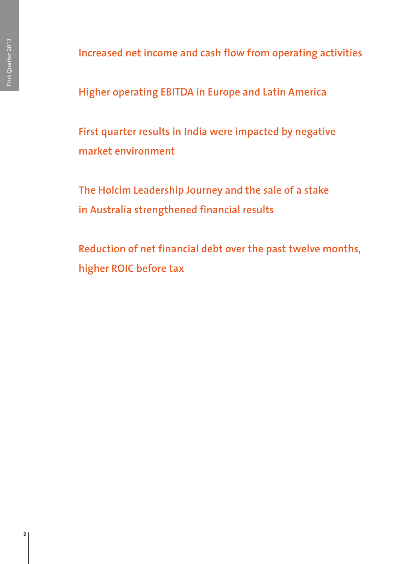**Increased net income and cash flow from operating activities**

**Higher operating EBITDA in Europe and Latin America**

**First quarter results in India were impacted by negative market environment**

**The Holcim Leadership Journey and the sale of a stake in Australia strengthened financial results**

**Reduction of net financial debt over the past twelve months, higher ROIC before tax**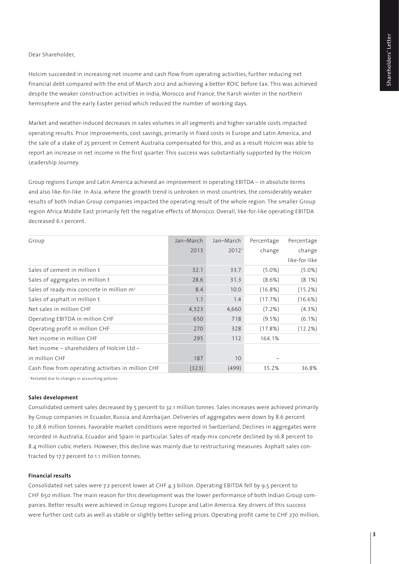# Dear Shareholder,

Holcim succeeded in increasing net income and cash flow from operating activities, further reducing net financial debt compared with the end of March 2012 and achieving a better ROIC before tax. This was achieved despite the weaker construction activities in India, Morocco and France, the harsh winter in the northern hemisphere and the early Easter period which reduced the number of working days.

Market and weather-induced decreases in sales volumes in all segments and higher variable costs impacted operating results. Price improvements, cost savings, primarily in fixed costs in Europe and Latin America, and the sale of a stake of 25 percent in Cement Australia compensated for this, and as a result Holcim was able to report an increase in net income in the first quarter. This success was substantially supported by the Holcim Leadership Journey.

Group regions Europe and Latin America achieved an improvement in operating EBITDA – in absolute terms and also like-for-like. In Asia, where the growth trend is unbroken in most countries, the considerably weaker results of both Indian Group companies impacted the operating result of the whole region. The smaller Group region Africa Middle East primarily felt the negative effects of Morocco. Overall, like-for-like operating EBITDA decreased 6.1 percent.

| Group                                                 | Jan-March | Jan-March         | Percentage | Percentage    |
|-------------------------------------------------------|-----------|-------------------|------------|---------------|
|                                                       | 2013      | 2012 <sup>1</sup> | change     | change        |
|                                                       |           |                   |            | like-for-like |
| Sales of cement in million t                          | 32.1      | 33.7              | $(5.0\%)$  | $(5.0\%)$     |
| Sales of aggregates in million t                      | 28.6      | 31.3              | $(8.6\%)$  | $(8.1\%)$     |
| Sales of ready-mix concrete in million m <sup>3</sup> | 8.4       | 10.0              | $(16.8\%)$ | (15.2%)       |
| Sales of asphalt in million t                         | 1.1       | 1.4               | (17.7%)    | (16.6%)       |
| Net sales in million CHF                              | 4,323     | 4,660             | (7.2%)     | $(4.3\%)$     |
| Operating EBITDA in million CHF                       | 650       | 718               | $(9.5\%)$  | $(6.1\%)$     |
| Operating profit in million CHF                       | 270       | 328               | (17.8%)    | (12.2%)       |
| Net income in million CHF                             | 295       | 112               | 164.1%     |               |
| Net income – shareholders of Holcim Ltd –             |           |                   |            |               |
| in million CHF                                        | 187       | 10                |            |               |
| Cash flow from operating activities in million CHF    | (323)     | (499)             | 35.2%      | 36.8%         |

<sup>1</sup> Restated due to changes in accounting policies

### **Sales development**

Consolidated cement sales decreased by 5 percent to 32.1 million tonnes. Sales increases were achieved primarily by Group companies in Ecuador, Russia and Azerbaijan. Deliveries of aggregates were down by 8.6 percent to 28.6 million tonnes. Favorable market conditions were reported in Switzerland. Declines in aggregates were recorded in Australia, Ecuador and Spain in particular. Sales of ready-mix concrete declined by 16.8 percent to 8.4 million cubic meters. However, this decline was mainly due to restructuring measures. Asphalt sales contracted by 17.7 percent to 1.1 million tonnes.

### **Financial results**

Consolidated net sales were 7.2 percent lower at CHF 4.3 billion. Operating EBITDA fell by 9.5 percent to CHF 650 million. The main reason for this development was the lower performance of both Indian Group companies. Better results were achieved in Group regions Europe and Latin America. Key drivers of this success were further cost cuts as well as stable or slightly better selling prices. Operating profit came to CHF 270 million,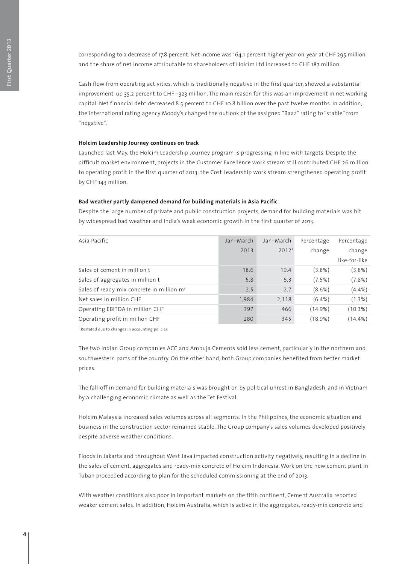corresponding to a decrease of 17.8 percent. Net income was 164.1 percent higher year-on-year at CHF 295 million, and the share of net income attributable to shareholders of Holcim Ltd increased to CHF 187 million.

Cash flow from operating activities, which is traditionally negative in the first quarter, showed a substantial improvement, up 35.2 percent to CHF –323 million. The main reason for this was an improvement in net working capital. Net financial debt decreased 8.5 percent to CHF 10.8 billion over the past twelve months. In addition, the international rating agency Moody's changed the outlook of the assigned "Baa2" rating to "stable" from "negative".

### **Holcim Leadership Journey continues on track**

Launched last May, the Holcim Leadership Journey program is progressing in line with targets. Despite the difficult market environment, projects in the Customer Excellence work stream still contributed CHF 26 million to operating profit in the first quarter of 2013; the Cost Leadership work stream strengthened operating profit by CHF 143 million.

# **Bad weather partly dampened demand for building materials in Asia Pacific**

Despite the large number of private and public construction projects, demand for building materials was hit by widespread bad weather and India's weak economic growth in the first quarter of 2013.

| Asia Pacific                                          | Jan-March | Jan-March         | Percentage | Percentage    |
|-------------------------------------------------------|-----------|-------------------|------------|---------------|
|                                                       | 2013      | 2012 <sup>1</sup> | change     | change        |
|                                                       |           |                   |            | like-for-like |
| Sales of cement in million t                          | 18.6      | 19.4              | $(3.8\%)$  | $(3.8\%)$     |
| Sales of aggregates in million t                      | 5.8       | 6.3               | (7.5%)     | (7.8%)        |
| Sales of ready-mix concrete in million m <sup>3</sup> | 2.5       | 2.7               | $(8.6\%)$  | $(4.4\%)$     |
| Net sales in million CHF                              | 1,984     | 2,118             | $(6.4\%)$  | (1.3%)        |
| Operating EBITDA in million CHF                       | 397       | 466               | (14.9%)    | (10.3%)       |
| Operating profit in million CHF                       | 280       | 345               | (18.9%)    | $(14.4\%)$    |

<sup>1</sup> Restated due to changes in accounting policies.

The two Indian Group companies ACC and Ambuja Cements sold less cement, particularly in the northern and southwestern parts of the country. On the other hand, both Group companies benefited from better market prices.

The fall-off in demand for building materials was brought on by political unrest in Bangladesh, and in Vietnam by a challenging economic climate as well as the Tet Festival.

Holcim Malaysia increased sales volumes across all segments. In the Philippines, the economic situation and business in the construction sector remained stable. The Group company's sales volumes developed positively despite adverse weather conditions.

Floods in Jakarta and throughout West Java impacted construction activity negatively, resulting in a decline in the sales of cement, aggregates and ready-mix concrete of Holcim Indonesia. Work on the new cement plant in Tuban proceeded according to plan for the scheduled commissioning at the end of 2013.

With weather conditions also poor in important markets on the fifth continent, Cement Australia reported weaker cement sales. In addition, Holcim Australia, which is active in the aggregates, ready-mix concrete and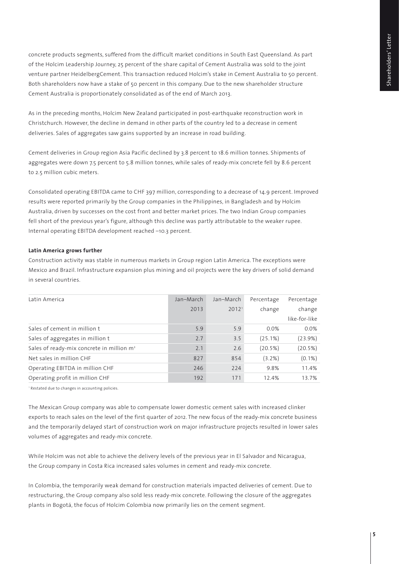concrete products segments, suffered from the difficult market conditions in South East Queensland. As part of the Holcim Leadership Journey, 25 percent of the share capital of Cement Australia was sold to the joint venture partner HeidelbergCement. This transaction reduced Holcim's stake in Cement Australia to 50 percent. Both shareholders now have a stake of 50 percent in this company. Due to the new shareholder structure Cement Australia is proportionately consolidated as of the end of March 2013.

As in the preceding months, Holcim New Zealand participated in post-earthquake reconstruction work in Christchurch. However, the decline in demand in other parts of the country led to a decrease in cement deliveries. Sales of aggregates saw gains supported by an increase in road building.

Cement deliveries in Group region Asia Pacific declined by 3.8 percent to 18.6 million tonnes. Shipments of aggregates were down 7.5 percent to 5.8 million tonnes, while sales of ready-mix concrete fell by 8.6 percent to 2.5 million cubic meters.

Consolidated operating EBITDA came to CHF 397 million, corresponding to a decrease of 14.9 percent. Improved results were reported primarily by the Group companies in the Philippines, in Bangladesh and by Holcim Australia, driven by successes on the cost front and better market prices. The two Indian Group companies fell short of the previous year's figure, although this decline was partly attributable to the weaker rupee. Internal operating EBITDA development reached –10.3 percent.

# **Latin America grows further**

Construction activity was stable in numerous markets in Group region Latin America. The exceptions were Mexico and Brazil. Infrastructure expansion plus mining and oil projects were the key drivers of solid demand in several countries.

| Latin America                                         | Jan-March | Jan-March         | Percentage | Percentage    |
|-------------------------------------------------------|-----------|-------------------|------------|---------------|
|                                                       | 2013      | 2012 <sup>1</sup> | change     | change        |
|                                                       |           |                   |            | like-for-like |
| Sales of cement in million t                          | 5.9       | 5.9               | $0.0\%$    | 0.0%          |
| Sales of aggregates in million t                      | 2.7       | 3.5               | (25.1%)    | (23.9%)       |
| Sales of ready-mix concrete in million m <sup>3</sup> | 2.1       | 2.6               | (20.5%)    | (20.5%)       |
| Net sales in million CHF                              | 827       | 854               | $(3.2\%)$  | $(0.1\%)$     |
| Operating EBITDA in million CHF                       | 246       | 224               | 9.8%       | 11.4%         |
| Operating profit in million CHF                       | 192       | 171               | 12.4%      | 13.7%         |

<sup>1</sup> Restated due to changes in accounting policies.

The Mexican Group company was able to compensate lower domestic cement sales with increased clinker exports to reach sales on the level of the first quarter of 2012. The new focus of the ready-mix concrete business and the temporarily delayed start of construction work on major infrastructure projects resulted in lower sales volumes of aggregates and ready-mix concrete.

While Holcim was not able to achieve the delivery levels of the previous year in El Salvador and Nicaragua, the Group company in Costa Rica increased sales volumes in cement and ready-mix concrete.

In Colombia, the temporarily weak demand for construction materials impacted deliveries of cement. Due to restructuring, the Group company also sold less ready-mix concrete. Following the closure of the aggregates plants in Bogotá, the focus of Holcim Colombia now primarily lies on the cement segment.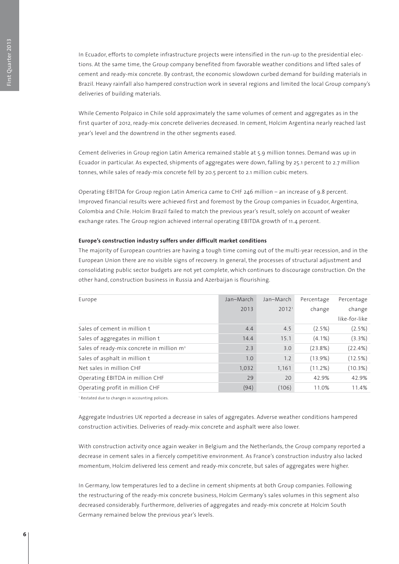In Ecuador, efforts to complete infrastructure projects were intensified in the run-up to the presidential elections. At the same time, the Group company benefited from favorable weather conditions and lifted sales of cement and ready-mix concrete. By contrast, the economic slowdown curbed demand for building materials in Brazil. Heavy rainfall also hampered construction work in several regions and limited the local Group company's deliveries of building materials.

While Cemento Polpaico in Chile sold approximately the same volumes of cement and aggregates as in the first quarter of 2012, ready-mix concrete deliveries decreased. In cement, Holcim Argentina nearly reached last year's level and the downtrend in the other segments eased.

Cement deliveries in Group region Latin America remained stable at 5.9 million tonnes. Demand was up in Ecuador in particular. As expected, shipments of aggregates were down, falling by 25.1 percent to 2.7 million tonnes, while sales of ready-mix concrete fell by 20.5 percent to 2.1 million cubic meters.

Operating EBITDA for Group region Latin America came to CHF 246 million – an increase of 9.8 percent. Improved financial results were achieved first and foremost by the Group companies in Ecuador, Argentina, Colombia and Chile. Holcim Brazil failed to match the previous year's result, solely on account of weaker exchange rates. The Group region achieved internal operating EBITDA growth of 11.4 percent.

# **Europe's construction industry suffers under difficult market conditions**

The majority of European countries are having a tough time coming out of the multi-year recession, and in the European Union there are no visible signs of recovery. In general, the processes of structural adjustment and consolidating public sector budgets are not yet complete, which continues to discourage construction. On the other hand, construction business in Russia and Azerbaijan is flourishing.

| Europe                                                | Jan-March | Jan-March         | Percentage | Percentage    |
|-------------------------------------------------------|-----------|-------------------|------------|---------------|
|                                                       | 2013      | 2012 <sup>1</sup> | change     | change        |
|                                                       |           |                   |            | like-for-like |
| Sales of cement in million t                          | 4.4       | 4.5               | (2.5%)     | $(2.5\%)$     |
| Sales of aggregates in million t                      | 14.4      | 15.1              | $(4.1\%)$  | (3.3%)        |
| Sales of ready-mix concrete in million m <sup>3</sup> | 2.3       | 3.0               | (23.8%)    | (22.4%)       |
| Sales of asphalt in million t                         | 1.0       | 1.2               | (13.9%)    | (12.5%)       |
| Net sales in million CHF                              | 1,032     | 1,161             | (11.2%)    | (10.3%)       |
| Operating EBITDA in million CHF                       | 29        | 20                | 42.9%      | 42.9%         |
| Operating profit in million CHF                       | (94)      | (106)             | 11.0%      | 11.4%         |

<sup>1</sup> Restated due to changes in accounting policies.

Aggregate Industries UK reported a decrease in sales of aggregates. Adverse weather conditions hampered construction activities. Deliveries of ready-mix concrete and asphalt were also lower.

With construction activity once again weaker in Belgium and the Netherlands, the Group company reported a decrease in cement sales in a fiercely competitive environment. As France's construction industry also lacked momentum, Holcim delivered less cement and ready-mix concrete, but sales of aggregates were higher.

In Germany, low temperatures led to a decline in cement shipments at both Group companies. Following the restructuring of the ready-mix concrete business, Holcim Germany's sales volumes in this segment also decreased considerably. Furthermore, deliveries of aggregates and ready-mix concrete at Holcim South Germany remained below the previous year's levels.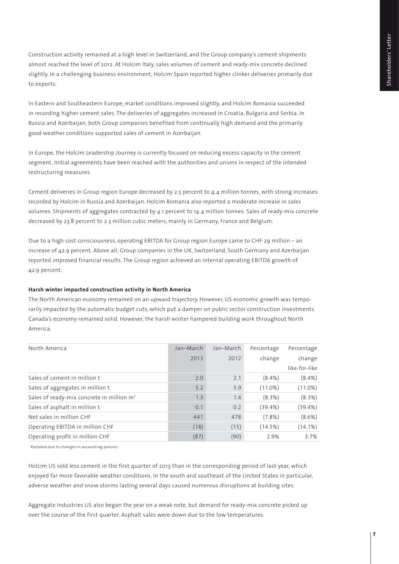Construction activity remained at a high level in Switzerland, and the Group company's cement shipments almost reached the level of 2012. At Holcim Italy, sales volumes of cement and ready-mix concrete declined slightly. In a challenging business environment, Holcim Spain reported higher clinker deliveries primarily due to exports.

In Eastern and Southeastern Europe, market conditions improved slightly, and Holcim Romania succeeded in recording higher cement sales. The deliveries of aggregates increased in Croatia, Bulgaria and Serbia. In Russia and Azerbaijan, both Group companies benefited from continually high demand and the primarily good weather conditions supported sales of cement in Azerbaijan.

In Europe, the Holcim Leadership Journey is currently focused on reducing excess capacity in the cement segment. Initial agreements have been reached with the authorities and unions in respect of the intended restructuring measures.

Cement deliveries in Group region Europe decreased by 2.5 percent to 4.4 million tonnes, with strong increases recorded by Holcim in Russia and Azerbaijan. Holcim Romania also reported a moderate increase in sales volumes. Shipments of aggregates contracted by 4.1 percent to 14.4 million tonnes. Sales of ready-mix concrete decreased by 23.8 percent to 2.3 million cubic meters, mainly in Germany, France and Belgium.

Due to a high cost consciousness, operating EBITDA for Group region Europe came to CHF 29 million – an increase of 42.9 percent. Above all, Group companies in the UK, Switzerland, South Germany and Azerbaijan reported improved financial results. The Group region achieved an internal operating EBITDA growth of 42.9 percent.

# **Harsh winter impacted construction activity in North America**

The North American economy remained on an upward trajectory. However, US economic growth was temporarily impacted by the automatic budget cuts, which put a damper on public sector construction investments. Canada's economy remained solid. However, the harsh winter hampered building work throughout North America.

| North America                                         | Jan-March | Jan-March         | Percentage | Percentage    |
|-------------------------------------------------------|-----------|-------------------|------------|---------------|
|                                                       | 2013      | 2012 <sup>1</sup> | change     | change        |
|                                                       |           |                   |            | like-for-like |
| Sales of cement in million t                          | 2.0       | 2.1               | $(8.4\%)$  | $(8.4\%)$     |
| Sales of aggregates in million t                      | 5.2       | 5.9               | $(11.0\%)$ | $(11.0\%)$    |
| Sales of ready-mix concrete in million m <sup>3</sup> | 1.3       | 1.4               | $(8.3\%)$  | (8.3%)        |
| Sales of asphalt in million t                         | 0.1       | 0.2               | $(39.4\%)$ | (39.4%)       |
| Net sales in million CHF                              | 441       | 478               | (7.8% )    | (8.6%)        |
| Operating EBITDA in million CHF                       | (18)      | (15)              | (14.5%)    | $(14.1\%)$    |
| Operating profit in million CHF                       | (87)      | (90)              | 2.9%       | 3.7%          |

<sup>1</sup> Restated due to changes in accounting policies.

Holcim US sold less cement in the first quarter of 2013 than in the corresponding period of last year, which enjoyed far more favorable weather conditions. In the south and southeast of the United States in particular, adverse weather and snow storms lasting several days caused numerous disruptions at building sites.

Aggregate Industries US also began the year on a weak note, but demand for ready-mix concrete picked up over the course of the first quarter. Asphalt sales were down due to the low temperatures.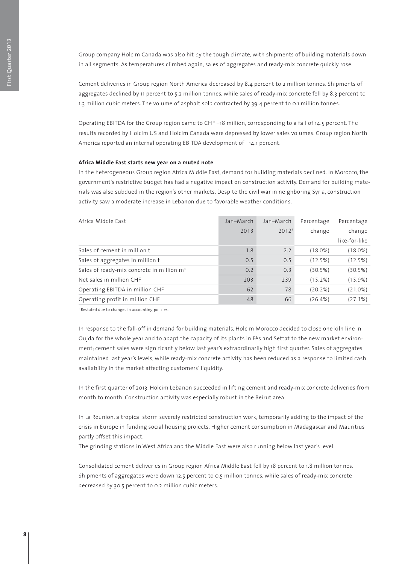Group company Holcim Canada was also hit by the tough climate, with shipments of building materials down in all segments. As temperatures climbed again, sales of aggregates and ready-mix concrete quickly rose.

Cement deliveries in Group region North America decreased by 8.4 percent to 2 million tonnes. Shipments of aggregates declined by 11 percent to 5.2 million tonnes, while sales of ready-mix concrete fell by 8.3 percent to 1.3 million cubic meters. The volume of asphalt sold contracted by 39.4 percent to 0.1 million tonnes.

Operating EBITDA for the Group region came to CHF –18 million, corresponding to a fall of 14.5 percent. The results recorded by Holcim US and Holcim Canada were depressed by lower sales volumes. Group region North America reported an internal operating EBITDA development of –14.1 percent.

### **Africa Middle East starts new year on a muted note**

In the heterogeneous Group region Africa Middle East, demand for building materials declined. In Morocco, the government's restrictive budget has had a negative impact on construction activity. Demand for building materials was also subdued in the region's other markets. Despite the civil war in neighboring Syria, construction activity saw a moderate increase in Lebanon due to favorable weather conditions.

| Africa Middle East                                    | Jan-March | Jan-March         | Percentage | Percentage    |
|-------------------------------------------------------|-----------|-------------------|------------|---------------|
|                                                       | 2013      | 2012 <sup>1</sup> | change     | change        |
|                                                       |           |                   |            | like-for-like |
| Sales of cement in million t                          | 1.8       | 2.2               | $(18.0\%)$ | $(18.0\%)$    |
| Sales of aggregates in million t                      | 0.5       | 0.5               | (12.5%)    | (12.5%)       |
| Sales of ready-mix concrete in million m <sup>3</sup> | 0.2       | 0.3               | (30.5%)    | (30.5%)       |
| Net sales in million CHF                              | 203       | 239               | (15.2%)    | (15.9%)       |
| Operating EBITDA in million CHF                       | 62        | 78                | (20.2%)    | (21.0%)       |
| Operating profit in million CHF                       | 48        | 66                | $(26.4\%)$ | (27.1%)       |

<sup>1</sup> Restated due to changes in accounting policies.

In response to the fall-off in demand for building materials, Holcim Morocco decided to close one kiln line in Oujda for the whole year and to adapt the capacity of its plants in Fès and Settat to the new market environment; cement sales were significantly below last year's extraordinarily high first quarter. Sales of aggregates maintained last year's levels, while ready-mix concrete activity has been reduced as a response to limited cash availability in the market affecting customers' liquidity.

In the first quarter of 2013, Holcim Lebanon succeeded in lifting cement and ready-mix concrete deliveries from month to month. Construction activity was especially robust in the Beirut area.

In La Réunion, a tropical storm severely restricted construction work, temporarily adding to the impact of the crisis in Europe in funding social housing projects. Higher cement consumption in Madagascar and Mauritius partly offset this impact.

The grinding stations in West Africa and the Middle East were also running below last year's level.

Consolidated cement deliveries in Group region Africa Middle East fell by 18 percent to 1.8 million tonnes. Shipments of aggregates were down 12.5 percent to 0.5 million tonnes, while sales of ready-mix concrete decreased by 30.5 percent to 0.2 million cubic meters.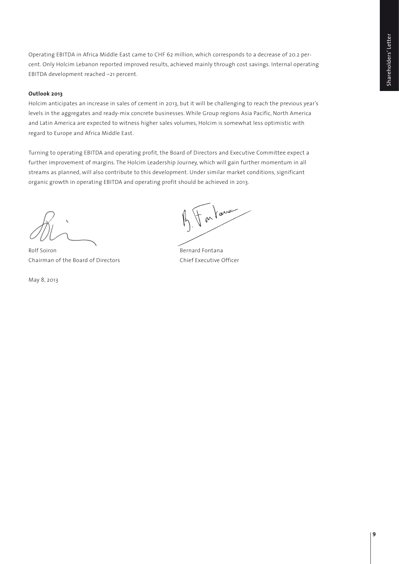Operating EBITDA in Africa Middle East came to CHF 62 million, which corresponds to a decrease of 20.2 percent. Only Holcim Lebanon reported improved results, achieved mainly through cost savings. Internal operating EBITDA development reached –21 percent.

# **Outlook 2013**

Holcim anticipates an increase in sales of cement in 2013, but it will be challenging to reach the previous year's levels in the aggregates and ready-mix concrete businesses. While Group regions Asia Pacific, North America and Latin America are expected to witness higher sales volumes, Holcim is somewhat less optimistic with regard to Europe and Africa Middle East.

Turning to operating EBITDA and operating profit, the Board of Directors and Executive Committee expect a further improvement of margins. The Holcim Leadership Journey, which will gain further momentum in all streams as planned, will also contribute to this development. Under similar market conditions, significant organic growth in operating EBITDA and operating profit should be achieved in 2013.

Rolf Soiron **Bernard Fontana** Chairman of the Board of Directors Chief Executive Officer

May 8, 2013

For lawer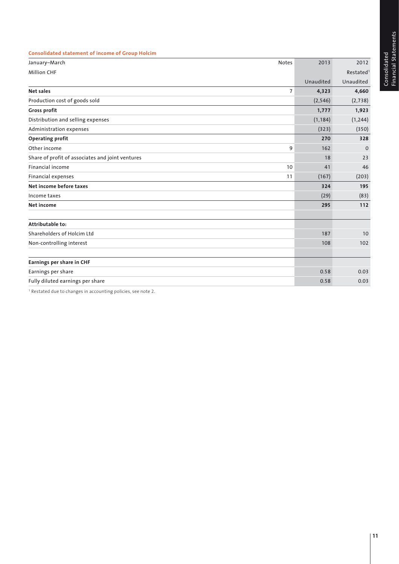|        | j<br>Ė        |
|--------|---------------|
|        |               |
|        |               |
|        | <b>dem-</b>   |
|        |               |
|        |               |
|        |               |
|        |               |
|        |               |
|        | 5<br>į        |
| ated   |               |
|        |               |
|        |               |
| o<br>D | eipue         |
| Š      |               |
|        |               |
| č<br>j |               |
|        | $\frac{1}{2}$ |
|        |               |
|        |               |

| <b>Consolidated statement of income of Group Holcim</b> |                |           |           |
|---------------------------------------------------------|----------------|-----------|-----------|
| January-March                                           | <b>Notes</b>   | 2013      | 2012      |
| <b>Million CHF</b>                                      |                |           | Restated  |
|                                                         |                | Unaudited | Unaudited |
| Net sales                                               | $\overline{7}$ | 4,323     | 4,660     |
| Production cost of goods sold                           |                | (2, 546)  | (2,738)   |
| <b>Gross profit</b>                                     |                | 1,777     | 1,923     |
| Distribution and selling expenses                       |                | (1, 184)  | (1, 244)  |
| Administration expenses                                 |                | (323)     | (350)     |
| <b>Operating profit</b>                                 |                | 270       | 328       |
| Other income                                            | 9              | 162       | $\Omega$  |
| Share of profit of associates and joint ventures        |                | 18        | 23        |
| Financial income                                        | 10             | 41        | 46        |
| Financial expenses                                      | 11             | (167)     | (203)     |
| Net income before taxes                                 |                | 324       | 195       |
| Income taxes                                            |                | (29)      | (83)      |
| Net income                                              |                | 295       | 112       |
| Attributable to:                                        |                |           |           |
| Shareholders of Holcim Ltd                              |                | 187       | 10        |
| Non-controlling interest                                |                | 108       | 102       |
| Earnings per share in CHF                               |                |           |           |
| Earnings per share                                      |                | 0.58      | 0.03      |
| Fully diluted earnings per share                        |                | 0.58      | 0.03      |

<sup>1</sup> Restated due to changes in accounting policies, see note 2.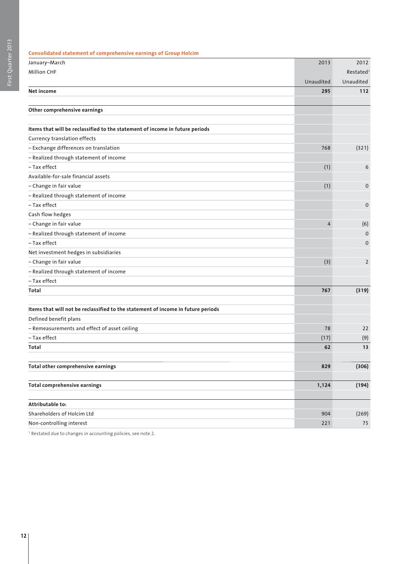| Consolidated statement of comprehensive earnings of Group Holcim                 |                |                       |
|----------------------------------------------------------------------------------|----------------|-----------------------|
| January-March                                                                    | 2013           | 2012                  |
| <b>Million CHF</b>                                                               |                | Restated <sup>1</sup> |
|                                                                                  | Unaudited      | Unaudited             |
| Net income                                                                       | 295            | 112                   |
| Other comprehensive earnings                                                     |                |                       |
| Items that will be reclassified to the statement of income in future periods     |                |                       |
| Currency translation effects                                                     |                |                       |
| - Exchange differences on translation                                            | 768            | (321)                 |
| - Realized through statement of income                                           |                |                       |
| - Tax effect                                                                     | (1)            | 6                     |
| Available-for-sale financial assets                                              |                |                       |
| - Change in fair value                                                           | (1)            | 0                     |
| - Realized through statement of income                                           |                |                       |
| - Tax effect                                                                     |                | $\mathbf 0$           |
| Cash flow hedges                                                                 |                |                       |
| - Change in fair value                                                           | $\overline{4}$ | (6)                   |
| - Realized through statement of income                                           |                | $\mathbf 0$           |
| - Tax effect                                                                     |                | 0                     |
| Net investment hedges in subsidiaries                                            |                |                       |
| - Change in fair value                                                           | (3)            | $\overline{2}$        |
| - Realized through statement of income                                           |                |                       |
| - Tax effect                                                                     |                |                       |
| Total                                                                            | 767            | (319)                 |
| Items that will not be reclassified to the statement of income in future periods |                |                       |
| Defined benefit plans                                                            |                |                       |
| - Remeasurements and effect of asset ceiling                                     | 78             | 22                    |
| - Tax effect                                                                     | (17)           | (9)                   |
| Total                                                                            | 62             | 13                    |
| Total other comprehensive earnings                                               | 829            | (306)                 |
| <b>Total comprehensive earnings</b>                                              | 1,124          | (194)                 |
| Attributable to:                                                                 |                |                       |
| Shareholders of Holcim Ltd                                                       | 904            | (269)                 |
| Non-controlling interest                                                         | 221            | 75                    |
|                                                                                  |                |                       |

1 Restated due to changes in accounting policies, see note 2.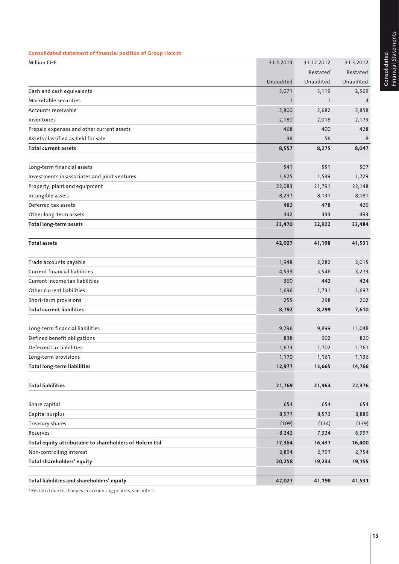| Total liabilities and shareholders' equity              |              | 41,198                | 41,531                |
|---------------------------------------------------------|--------------|-----------------------|-----------------------|
| Total shareholders' equity                              | 20,258       | 19,234                | 19,155                |
| Non-controlling interest                                | 2,894        | 2,797                 | 2,754                 |
| Total equity attributable to shareholders of Holcim Ltd | 17,364       | 16,437                | 16,400                |
| Reserves                                                | 8,242        | 7,324                 | 6,997                 |
| Treasury shares                                         | (109)        | (114)                 | (139)                 |
| Capital surplus                                         | 8,577        | 8,573                 | 8,889                 |
| Share capital                                           | 654          | 654                   | 654                   |
| <b>Total liabilities</b>                                | 21,769       | 21,964                | 22,376                |
|                                                         |              |                       |                       |
| <b>Total long-term liabilities</b>                      | 12,977       | 13,665                | 14,766                |
| Long-term provisions                                    | 1,170        | 1,161                 | 1,136                 |
| Deferred tax liabilities                                | 1,673        | 1,702                 | 1,761                 |
| Defined benefit obligations                             | 838          | 902                   | 820                   |
| Long-term financial liabilities                         | 9,296        | 9,899                 | 11,048                |
| Total current liabilities                               | 8,792        | 8,299                 | 7,610                 |
| Short-term provisions                                   | 255          | 298                   | 202                   |
| Other current liabilities                               | 1,696        | 1,731                 | 1,697                 |
| Current income tax liabilities                          | 360          | 442                   | 424                   |
| <b>Current financial liabilities</b>                    | 4,533        | 3,546                 | 3,273                 |
| Trade accounts payable                                  | 1,948        | 2,282                 | 2,015                 |
| Total assets                                            | 42,027       | 41,198                | 41,531                |
|                                                         |              |                       |                       |
| <b>Total long-term assets</b>                           | 33,470       | 32,922                | 33,484                |
| Other long-term assets                                  | 442          | 433                   | 493                   |
| Deferred tax assets                                     | 482          | 478                   | 426                   |
| Intangible assets                                       | 8,297        | 8,131                 | 8,181                 |
| Property, plant and equipment                           | 22,083       | 21,791                | 22,148                |
| Investments in associates and joint ventures            | 1,625        | 1,539                 | 1,729                 |
| Long-term financial assets                              | 541          | 551                   | 507                   |
| Total current assets                                    | 8,557        | 8,275                 | 8,047                 |
| Assets classified as held for sale                      | 38           | 56                    | 8                     |
| Prepaid expenses and other current assets               | 468          | 400                   | 428                   |
| Inventories                                             | 2,180        | 2,018                 | 2,179                 |
| Accounts receivable                                     | 2,800        | 2,682                 | 2,858                 |
| Marketable securities                                   | $\mathbf{1}$ | $\mathbf{1}$          | $\overline{4}$        |
| Cash and cash equivalents                               | 3,071        | 3,119                 | 2,569                 |
|                                                         | Unaudited    | Unaudited             | Unaudited             |
|                                                         |              | Restated <sup>1</sup> | Restated <sup>1</sup> |
| <b>Million CHF</b>                                      | 31.3.2013    | 31.12.2012            | 31.3.2012             |

1 Restated due to changes in accounting policies, see note 2.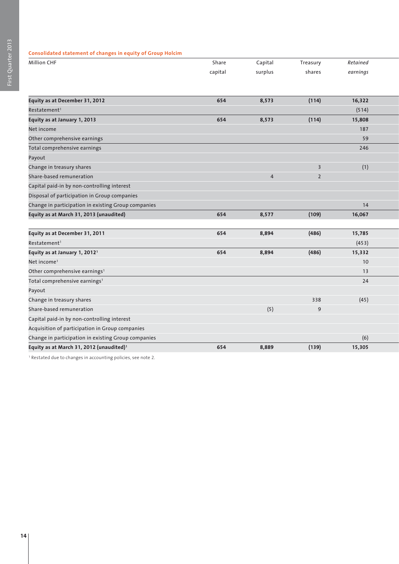# **Consolidated statement of changes in equity of Group Holcim**

| Million CHF                                          | Share   | Capital        | Treasury                | Retained |  |
|------------------------------------------------------|---------|----------------|-------------------------|----------|--|
|                                                      | capital | surplus        | shares                  | earnings |  |
|                                                      |         |                |                         |          |  |
| Equity as at December 31, 2012                       | 654     | 8,573          | (114)                   | 16,322   |  |
| Restatement <sup>1</sup>                             |         |                |                         | (514)    |  |
| Equity as at January 1, 2013                         | 654     | 8,573          | (114)                   | 15,808   |  |
| Net income                                           |         |                |                         | 187      |  |
| Other comprehensive earnings                         |         |                |                         | 59       |  |
| Total comprehensive earnings                         |         |                |                         | 246      |  |
| Payout                                               |         |                |                         |          |  |
| Change in treasury shares                            |         |                | $\overline{\mathbf{3}}$ | (1)      |  |
| Share-based remuneration                             |         | $\overline{4}$ | $\overline{2}$          |          |  |
| Capital paid-in by non-controlling interest          |         |                |                         |          |  |
| Disposal of participation in Group companies         |         |                |                         |          |  |
| Change in participation in existing Group companies  |         |                |                         | 14       |  |
| Equity as at March 31, 2013 (unaudited)              | 654     | 8,577          | (109)                   | 16,067   |  |
|                                                      |         |                |                         |          |  |
| Equity as at December 31, 2011                       | 654     | 8,894          | (486)                   | 15,785   |  |
| Restatement <sup>1</sup>                             |         |                |                         | (453)    |  |
| Equity as at January 1, 2012 <sup>1</sup>            | 654     | 8,894          | (486)                   | 15,332   |  |
| Net income <sup>1</sup>                              |         |                |                         | 10       |  |
| Other comprehensive earnings <sup>1</sup>            |         |                |                         | 13       |  |
| Total comprehensive earnings <sup>1</sup>            |         |                |                         | 24       |  |
| Payout                                               |         |                |                         |          |  |
| Change in treasury shares                            |         |                | 338                     | (45)     |  |
| Share-based remuneration                             |         | (5)            | 9                       |          |  |
| Capital paid-in by non-controlling interest          |         |                |                         |          |  |
| Acquisition of participation in Group companies      |         |                |                         |          |  |
| Change in participation in existing Group companies  |         |                |                         | (6)      |  |
| Equity as at March 31, 2012 (unaudited) <sup>1</sup> | 654     | 8,889          | (139)                   | 15,305   |  |

1 Restated due to changes in accounting policies, see note 2.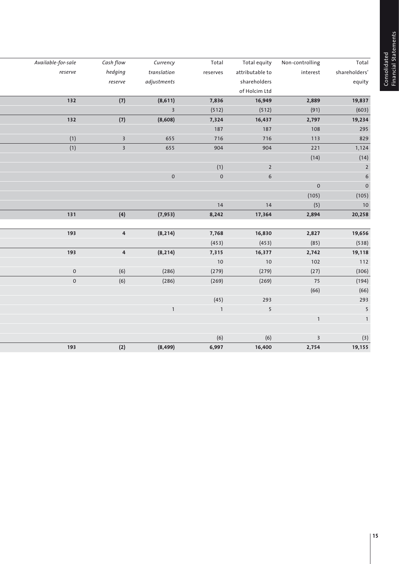Consolidated<br>Financial Statements Financial Statements Consolidated

| Total          | Non-controlling         | Total equity     | Total        | Currency                | Cash flow               | Available-for-sale  |
|----------------|-------------------------|------------------|--------------|-------------------------|-------------------------|---------------------|
| shareholders'  | interest                | attributable to  | reserves     | translation             | hedging                 | reserve             |
| equity         |                         | shareholders     |              | adjustments             | reserve                 |                     |
|                |                         | of Holcim Ltd    |              |                         |                         |                     |
| 19,837         | 2,889                   | 16,949           | 7,836        | (8,611)                 | (7)                     | 132                 |
| (603)          | (91)                    | (512)            | (512)        | $\overline{\mathbf{3}}$ |                         |                     |
| 19,234         | 2,797                   | 16,437           | 7,324        | (8,608)                 | (7)                     | 132                 |
| 295            | 108                     | 187              | 187          |                         |                         |                     |
| 829            | 113                     | 716              | 716          | 655                     | $\overline{\mathbf{3}}$ | (1)                 |
| 1,124          | 221                     | 904              | 904          | 655                     | $\overline{\mathbf{3}}$ | (1)                 |
| (14)           | (14)                    |                  |              |                         |                         |                     |
| $\mathsf 2$    |                         | $\mathbf 2$      | (1)          |                         |                         |                     |
| $\overline{6}$ |                         | $\boldsymbol{6}$ | $\mathbf 0$  | $\mathsf{O}\xspace$     |                         |                     |
| $\mathbf 0$    | $\mathsf{O}\xspace$     |                  |              |                         |                         |                     |
| (105)          | (105)                   |                  |              |                         |                         |                     |
| $10$           | (5)                     | 14               | 14           |                         |                         |                     |
| 20,258         | 2,894                   | 17,364           | 8,242        | (7, 953)                | (4)                     | 131                 |
|                |                         |                  |              |                         |                         |                     |
| 19,656         | 2,827                   | 16,830           | 7,768        | (8, 214)                | $\overline{\mathbf{4}}$ | 193                 |
| (538)          | (85)                    | (453)            | (453)        |                         |                         |                     |
| 19,118         | 2,742                   | 16,377           | 7,315        | (8, 214)                | $\pmb{4}$               | 193                 |
| 112            | 102                     | 10               | 10           |                         |                         |                     |
| (306)          | (27)                    | (279)            | (279)        | (286)                   | (6)                     | $\mathsf{O}\xspace$ |
| (194)          | 75                      | (269)            | (269)        | (286)                   | (6)                     | $\mathsf{O}\xspace$ |
| (66)           | (66)                    |                  |              |                         |                         |                     |
| 293            |                         | 293              | (45)         |                         |                         |                     |
| $\sqrt{5}$     |                         | 5                | $\mathbf{1}$ | $\mathbf{1}$            |                         |                     |
| $\mathbf 1$    | $\mathbf 1$             |                  |              |                         |                         |                     |
|                |                         |                  |              |                         |                         |                     |
| $(3)$          | $\overline{\mathbf{3}}$ | (6)              | (6)          |                         |                         |                     |
| 19,155         | 2,754                   | 16,400           | 6,997        | (8, 499)                | (2)                     | 193                 |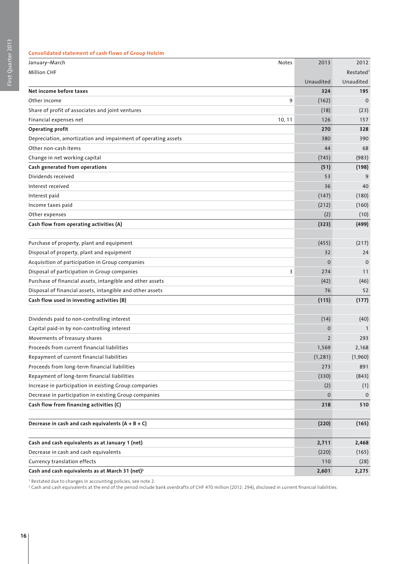| <b>Consolidated statement of cash flows of Group Holcim</b> |
|-------------------------------------------------------------|
|-------------------------------------------------------------|

| January-March                                                 | Notes  | 2013           | 2012                  |
|---------------------------------------------------------------|--------|----------------|-----------------------|
| <b>Million CHF</b>                                            |        |                | Restated <sup>1</sup> |
|                                                               |        | Unaudited      | Unaudited             |
| Net income before taxes                                       |        | 324            | 195                   |
| Other income                                                  | 9      | (162)          | $\mathbf 0$           |
| Share of profit of associates and joint ventures              |        | (18)           | (23)                  |
| Financial expenses net                                        | 10, 11 | 126            | 157                   |
| <b>Operating profit</b>                                       |        | 270            | 328                   |
| Depreciation, amortization and impairment of operating assets |        | 380            | 390                   |
| Other non-cash items                                          |        | 44             | 68                    |
| Change in net working capital                                 |        | (745)          | (983)                 |
| Cash generated from operations                                |        | (51)           | (198)                 |
| Dividends received                                            |        | 53             | 9                     |
| Interest received                                             |        | 36             | 40                    |
| Interest paid                                                 |        | (147)          | (180)                 |
| Income taxes paid                                             |        | (212)          | (160)                 |
| Other expenses                                                |        | (2)            | (10)                  |
| Cash flow from operating activities (A)                       |        | (323)          | (499)                 |
|                                                               |        |                |                       |
| Purchase of property, plant and equipment                     |        | (455)          | (217)                 |
| Disposal of property, plant and equipment                     |        | 32             | 24                    |
| Acquisition of participation in Group companies               |        | $\mathbf 0$    | $\mathbf 0$           |
| Disposal of participation in Group companies                  | 3      | 274            | 11                    |
| Purchase of financial assets, intangible and other assets     |        | (42)           | (46)                  |
| Disposal of financial assets, intangible and other assets     |        | 76             | 52                    |
| Cash flow used in investing activities (B)                    |        | (115)          | (177)                 |
|                                                               |        |                |                       |
| Dividends paid to non-controlling interest                    |        | (14)           | (40)                  |
| Capital paid-in by non-controlling interest                   |        | $\Omega$       |                       |
| Movements of treasury shares                                  |        | $\overline{2}$ | 293                   |
| Proceeds from current financial liabilities                   |        | 1,569          | 2,168                 |
| Repayment of current financial liabilities                    |        | (1, 281)       | (1,960)               |
| Proceeds from long-term financial liabilities                 |        | 273            | 891                   |
| Repayment of long-term financial liabilities                  |        | (330)          | (843)                 |
| Increase in participation in existing Group companies         |        | (2)            | (1)                   |
| Decrease in participation in existing Group companies         |        | $\mathbf{0}$   | $\mathbf 0$           |
| Cash flow from financing activities (C)                       |        | 218            | 510                   |
|                                                               |        |                |                       |
| Decrease in cash and cash equivalents $(A + B + C)$           |        | (220)          | (165)                 |
|                                                               |        |                |                       |
| Cash and cash equivalents as at January 1 (net)               |        | 2,711          | 2,468                 |
| Decrease in cash and cash equivalents                         |        | (220)          | (165)                 |
| Currency translation effects                                  |        | 110            | (28)                  |
| Cash and cash equivalents as at March 31 (net) <sup>2</sup>   |        | 2,601          | 2,275                 |

1 Restated due to changes in accounting policies, see note 2.

2 Cash and cash equivalents at the end of the period include bank overdrafts of CHF 470 million (2012: 294), disclosed in current financial liabilities.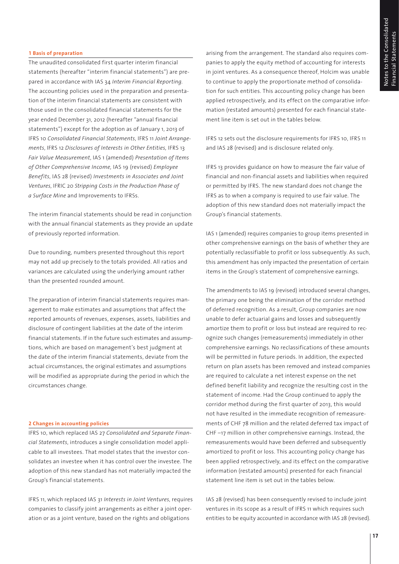# **1 Basis of preparation**

The unaudited consolidated first quarter interim financial statements (hereafter "interim financial statements") are prepared in accordance with IAS 34 *Interim Financial Reporting*. The accounting policies used in the preparation and presentation of the interim financial statements are consistent with those used in the consolidated financial statements for the year ended December 31, 2012 (hereafter "annual financial statements") except for the adoption as of January 1, 2013 of IFRS 10 *Consolidated Financial Statements*, IFRS 11 *Joint Arrangements*, IFRS 12 *Disclosures of Interests in Other Entities,* IFRS 13 *Fair Value Measurement*, IAS 1 (amended) *Presentation of Items of Other Comprehensive Income,* IAS 19 (revised) *Employee Benefits*, IAS 28 (revised) *Investments in Associates and Joint Ventures*, IFRIC 20 *Stripping Costs in the Production Phase of a Surface Mine* and Improvements to IFRSs.

The interim financial statements should be read in conjunction with the annual financial statements as they provide an update of previously reported information.

Due to rounding, numbers presented throughout this report may not add up precisely to the totals provided. All ratios and variances are calculated using the underlying amount rather than the presented rounded amount.

The preparation of interim financial statements requires management to make estimates and assumptions that affect the reported amounts of revenues, expenses, assets, liabilities and disclosure of contingent liabilities at the date of the interim financial statements. If in the future such estimates and assumptions, which are based on management's best judgment at the date of the interim financial statements, deviate from the actual circumstances, the original estimates and assumptions will be modified as appropriate during the period in which the circumstances change.

### **2 Changes in accounting policies**

IFRS 10, which replaced IAS 27 *Consolidated and Separate Financial Statements*, introduces a single consolidation model applicable to all investees. That model states that the investor consolidates an investee when it has control over the investee. The adoption of this new standard has not materially impacted the Group's financial statements.

IFRS 11, which replaced IAS 31 *Interests in Joint Ventures*, requires companies to classify joint arrangements as either a joint operation or as a joint venture, based on the rights and obligations

arising from the arrangement. The standard also requires companies to apply the equity method of accounting for interests in joint ventures. As a consequence thereof, Holcim was unable to continue to apply the proportionate method of consolidation for such entities. This accounting policy change has been applied retrospectively, and its effect on the comparative information (restated amounts) presented for each financial statement line item is set out in the tables below.

IFRS 12 sets out the disclosure requirements for IFRS 10, IFRS 11 and IAS 28 (revised) and is disclosure related only.

IFRS 13 provides guidance on how to measure the fair value of financial and non-financial assets and liabilities when required or permitted by IFRS. The new standard does not change the IFRS as to when a company is required to use fair value. The adoption of this new standard does not materially impact the Group's financial statements.

IAS 1 (amended) requires companies to group items presented in other comprehensive earnings on the basis of whether they are potentially reclassifiable to profit or loss subsequently. As such, this amendment has only impacted the presentation of certain items in the Group's statement of comprehensive earnings.

The amendments to IAS 19 (revised) introduced several changes, the primary one being the elimination of the corridor method of deferred recognition. As a result, Group companies are now unable to defer actuarial gains and losses and subsequently amortize them to profit or loss but instead are required to recognize such changes (remeasurements) immediately in other comprehensive earnings. No reclassifications of these amounts will be permitted in future periods. In addition, the expected return on plan assets has been removed and instead companies are required to calculate a net interest expense on the net defined benefit liability and recognize the resulting cost in the statement of income. Had the Group continued to apply the corridor method during the first quarter of 2013, this would not have resulted in the immediate recognition of remeasurements of CHF 78 million and the related deferred tax impact of CHF –17 million in other comprehensive earnings. Instead, the remeasurements would have been deferred and subsequently amortized to profit or loss. This accounting policy change has been applied retrospectively, and its effect on the comparative information (restated amounts) presented for each financial statement line item is set out in the tables below.

IAS 28 (revised) has been consequently revised to include joint ventures in its scope as a result of IFRS 11 which requires such entities to be equity accounted in accordance with IAS 28 (revised).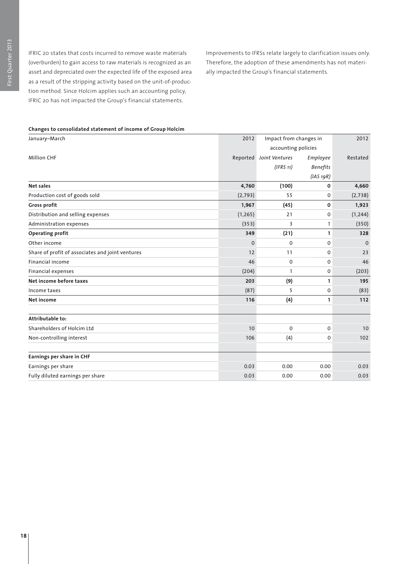IFRIC 20 states that costs incurred to remove waste materials (overburden) to gain access to raw materials is recognized as an asset and depreciated over the expected life of the exposed area as a result of the stripping activity based on the unit-of-production method. Since Holcim applies such an accounting policy, IFRIC 20 has not impacted the Group's financial statements.

Improvements to IFRSs relate largely to clarification issues only. Therefore, the adoption of these amendments has not materially impacted the Group's financial statements.

| January-March                                    | 2012<br>Impact from changes in |                         |                 | 2012     |  |
|--------------------------------------------------|--------------------------------|-------------------------|-----------------|----------|--|
|                                                  |                                | accounting policies     |                 |          |  |
| <b>Million CHF</b>                               |                                | Reported Joint Ventures | Employee        | Restated |  |
|                                                  |                                | (IFRS 11)               | <b>Benefits</b> |          |  |
|                                                  |                                |                         | (IAS 19R)       |          |  |
| Net sales                                        | 4,760                          | (100)                   | 0               | 4,660    |  |
| Production cost of goods sold                    | (2, 793)                       | 55                      | 0               | (2, 738) |  |
| Gross profit                                     | 1,967                          | (45)                    | 0               | 1,923    |  |
| Distribution and selling expenses                | (1, 265)                       | 21                      | 0               | (1, 244) |  |
| Administration expenses                          | (353)                          | 3                       | 1               | (350)    |  |
| <b>Operating profit</b>                          | 349                            | (21)                    | 1               | 328      |  |
| Other income                                     | $\mathbf 0$                    | $\mathbf 0$             | 0               | $\Omega$ |  |
| Share of profit of associates and joint ventures | 12                             | 11                      | 0               | 23       |  |
| <b>Financial income</b>                          | 46                             | $\mathbf 0$             | 0               | 46       |  |
| Financial expenses                               | (204)                          | 1                       | 0               | (203)    |  |
| Net income before taxes                          | 203                            | (9)                     | 1               | 195      |  |
| Income taxes                                     | (87)                           | 5                       | $\Omega$        | (83)     |  |
| Net income                                       | 116                            | (4)                     | 1               | 112      |  |
| Attributable to:                                 |                                |                         |                 |          |  |
| Shareholders of Holcim Ltd                       | 10                             | 0                       | 0               | 10       |  |
| Non-controlling interest                         | 106                            | (4)                     | 0               | 102      |  |
| Earnings per share in CHF                        |                                |                         |                 |          |  |
| Earnings per share                               | 0.03                           | 0.00                    | 0.00            | 0.03     |  |
| Fully diluted earnings per share                 | 0.03                           | 0.00                    | 0.00            | 0.03     |  |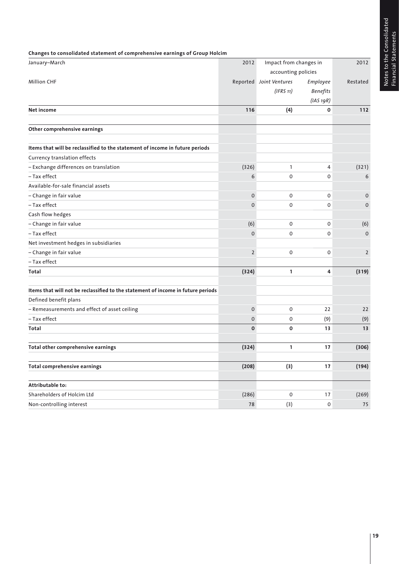Notes to the Consolidated<br>Financial Statements Notes to the Consolidated Financial Statements

| January-March                                                                    | 2012           | Impact from changes in  |                 | 2012           |
|----------------------------------------------------------------------------------|----------------|-------------------------|-----------------|----------------|
|                                                                                  |                | accounting policies     |                 |                |
| Million CHF                                                                      |                | Reported Joint Ventures | Employee        | Restated       |
|                                                                                  |                | (IFRS 11)               | <b>Benefits</b> |                |
|                                                                                  |                |                         | (IAS 19R)       |                |
| Net income                                                                       | 116            | (4)                     | 0               | 112            |
|                                                                                  |                |                         |                 |                |
| Other comprehensive earnings                                                     |                |                         |                 |                |
| Items that will be reclassified to the statement of income in future periods     |                |                         |                 |                |
| Currency translation effects                                                     |                |                         |                 |                |
| - Exchange differences on translation                                            | (326)          | $\mathbf{1}$            | 4               | (321)          |
| - Tax effect                                                                     | 6              | 0                       | 0               | 6              |
| Available-for-sale financial assets                                              |                |                         |                 |                |
| - Change in fair value                                                           | 0              | 0                       | 0               | $\mathbf 0$    |
| - Tax effect                                                                     | $\mathbf 0$    | 0                       | 0               | 0              |
| Cash flow hedges                                                                 |                |                         |                 |                |
| - Change in fair value                                                           | (6)            | 0                       | 0               | (6)            |
| - Tax effect                                                                     | $\mathbf 0$    | 0                       | 0               | $\mathbf 0$    |
| Net investment hedges in subsidiaries                                            |                |                         |                 |                |
| - Change in fair value                                                           | $\overline{2}$ | 0                       | 0               | $\overline{2}$ |
| - Tax effect                                                                     |                |                         |                 |                |
| Total                                                                            | (324)          | 1                       | 4               | (319)          |
| Items that will not be reclassified to the statement of income in future periods |                |                         |                 |                |
| Defined benefit plans                                                            |                |                         |                 |                |
| - Remeasurements and effect of asset ceiling                                     | 0              | 0                       | 22              | 22             |
| - Tax effect                                                                     | 0              | 0                       | (9)             | (9)            |
| Total                                                                            | $\mathbf 0$    | 0                       | 13              | 13             |
|                                                                                  |                |                         |                 |                |
| Total other comprehensive earnings                                               | (324)          | 1                       | 17              | (306)          |
| Total comprehensive earnings                                                     | (208)          | (3)                     | 17              | (194)          |
| Attributable to:                                                                 |                |                         |                 |                |
| Shareholders of Holcim Ltd                                                       | (286)          | 0                       | 17              | (269)          |
| Non-controlling interest                                                         | 78             | (3)                     | 0               | 75             |
|                                                                                  |                |                         |                 |                |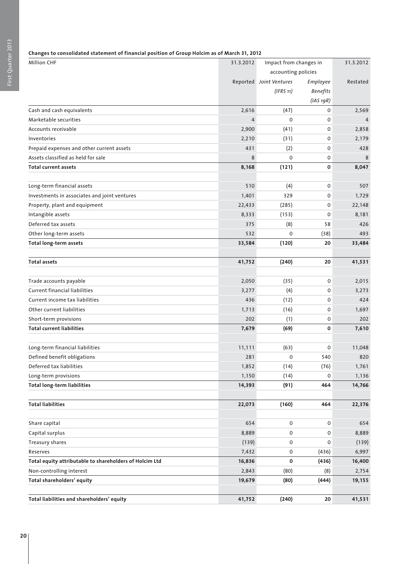# **Changes to consolidated statement of financial position of Group Holcim as of March 31, 2012**

| <b>Million CHF</b>                                      | 31.3.2012           | Impact from changes in  |                 | 31.3.2012 |
|---------------------------------------------------------|---------------------|-------------------------|-----------------|-----------|
|                                                         | accounting policies |                         |                 |           |
|                                                         |                     | Reported Joint Ventures | Employee        | Restated  |
|                                                         |                     | (IFRS 11)               | <b>Benefits</b> |           |
|                                                         |                     |                         | (IAS 19R)       |           |
| Cash and cash equivalents                               | 2,616               | (47)                    | 0               | 2,569     |
| Marketable securities                                   | $\overline{4}$      | $\mathbf 0$             | 0               | 4         |
| Accounts receivable                                     | 2,900               | (41)                    | $\mathbf 0$     | 2,858     |
| Inventories                                             | 2,210               | (31)                    | 0               | 2,179     |
| Prepaid expenses and other current assets               | 431                 | (2)                     | 0               | 428       |
| Assets classified as held for sale                      | 8                   | $\Omega$                | 0               | 8         |
| <b>Total current assets</b>                             | 8,168               | (121)                   | 0               | 8,047     |
|                                                         |                     |                         |                 |           |
| Long-term financial assets                              | 510                 | (4)                     | 0               | 507       |
| Investments in associates and joint ventures            | 1,401               | 329                     | 0               | 1,729     |
| Property, plant and equipment                           | 22,433              | (285)                   | 0               | 22,148    |
| Intangible assets                                       | 8,333               | (153)                   | 0               | 8,181     |
| Deferred tax assets                                     | 375                 | (8)                     | 58              | 426       |
| Other long-term assets                                  | 532                 | 0                       | (38)            | 493       |
| Total long-term assets                                  | 33,584              | (120)                   | 20              | 33,484    |
|                                                         |                     |                         |                 |           |
| <b>Total assets</b>                                     | 41,752              | (240)                   | 20              | 41,531    |
|                                                         |                     |                         |                 |           |
| Trade accounts payable                                  | 2,050               | (35)                    | 0               | 2,015     |
| <b>Current financial liabilities</b>                    | 3,277               | (4)                     | 0               | 3,273     |
| Current income tax liabilities                          | 436                 | (12)                    | 0               | 424       |
| Other current liabilities                               | 1,713               | (16)                    | 0               | 1,697     |
| Short-term provisions                                   | 202                 | (1)                     | 0               | 202       |
| <b>Total current liabilities</b>                        | 7,679               | (69)                    | 0               | 7,610     |
|                                                         |                     |                         |                 |           |
| Long-term financial liabilities                         | 11,111              | (63)                    | 0               | 11,048    |
| Defined benefit obligations                             | 281                 | 0                       | 540             | 820       |
| Deferred tax liabilities                                | 1,852               | (14)                    | (76)            | 1,761     |
| Long-term provisions                                    | 1,150               | (14)                    | 0               | 1,136     |
| <b>Total long-term liabilities</b>                      | 14,393              | (91)                    | 464             | 14,766    |
|                                                         |                     |                         |                 |           |
| <b>Total liabilities</b>                                | 22,073              | (160)                   | 464             | 22,376    |
|                                                         |                     |                         |                 |           |
| Share capital                                           | 654                 | 0                       | 0               | 654       |
| Capital surplus                                         | 8,889               | 0                       | 0               | 8,889     |
| Treasury shares                                         | (139)               | 0                       | 0               | (139)     |
| Reserves                                                | 7,432               | 0                       | (436)           | 6,997     |
| Total equity attributable to shareholders of Holcim Ltd | 16,836              | 0                       | (436)           | 16,400    |
| Non-controlling interest                                | 2,843               | (80)                    | (8)             | 2,754     |
| Total shareholders' equity                              | 19,679              | (80)                    | (444)           | 19,155    |
|                                                         |                     |                         |                 |           |
| Total liabilities and shareholders' equity              | 41,752              | (240)                   | 20              | 41,531    |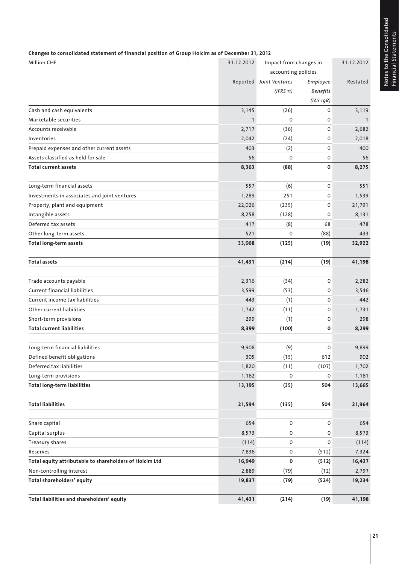Notes to the Consolidated<br>Financial Statements Notes to the Consolidated Financial Statements

| Changes to consolidated statement of financial position of Group Holcim as of December 31, 2012 |  |
|-------------------------------------------------------------------------------------------------|--|

| <b>Million CHF</b>                                      | 31.12.2012 | Impact from changes in  |                     | 31.12.2012   |
|---------------------------------------------------------|------------|-------------------------|---------------------|--------------|
|                                                         |            | accounting policies     |                     |              |
|                                                         |            | Reported Joint Ventures | Employee            | Restated     |
|                                                         |            | (IFRS 11)               | <b>Benefits</b>     |              |
|                                                         |            |                         | (IAS 19R)           |              |
| Cash and cash equivalents                               | 3,145      | (26)                    | 0                   | 3,119        |
| Marketable securities                                   | 1          | 0                       | 0                   | $\mathbf{1}$ |
| Accounts receivable                                     | 2,717      | (36)                    | 0                   | 2,682        |
| Inventories                                             | 2,042      | (24)                    | 0                   | 2,018        |
| Prepaid expenses and other current assets               | 403        | (2)                     | 0                   | 400          |
| Assets classified as held for sale                      | 56         | 0                       | 0                   | 56           |
| <b>Total current assets</b>                             | 8,363      | (88)                    | 0                   | 8,275        |
| Long-term financial assets                              | 557        | (6)                     | 0                   | 551          |
| Investments in associates and joint ventures            | 1,289      | 251                     | 0                   | 1,539        |
| Property, plant and equipment                           | 22,026     | (235)                   | 0                   | 21,791       |
| Intangible assets                                       | 8,258      | (128)                   | 0                   | 8,131        |
| Deferred tax assets                                     | 417        | (8)                     | 68                  | 478          |
| Other long-term assets                                  | 521        | 0                       | (88)                | 433          |
| <b>Total long-term assets</b>                           | 33,068     | (125)                   | (19)                | 32,922       |
| <b>Total assets</b>                                     | 41,431     | (214)                   | (19)                | 41,198       |
|                                                         |            |                         |                     |              |
| Trade accounts payable                                  | 2,316      | (34)                    | 0                   | 2,282        |
| Current financial liabilities                           | 3,599      | (53)                    | 0                   | 3,546        |
| Current income tax liabilities                          | 443        | (1)                     | 0                   | 442          |
| Other current liabilities                               | 1,742      | (11)                    | 0                   | 1,731        |
| Short-term provisions                                   | 299        | (1)                     | 0                   | 298          |
| <b>Total current liabilities</b>                        | 8,399      | (100)                   | 0                   | 8,299        |
| Long-term financial liabilities                         | 9,908      | (9)                     | 0                   | 9,899        |
| Defined benefit obligations                             | 305        | (15)                    | 612                 | 902          |
| Deferred tax liabilities                                | 1,820      | (11)                    | (107)               | 1,702        |
| Long-term provisions                                    | 1,162      | 0                       | 0                   | 1,161        |
| <b>Total long-term liabilities</b>                      | 13,195     | (35)                    | 504                 | 13,665       |
| <b>Total liabilities</b>                                | 21,594     | (135)                   | 504                 | 21,964       |
| Share capital                                           | 654        | $\mathsf{O}\xspace$     | $\mathsf{O}\xspace$ | 654          |
| Capital surplus                                         | 8,573      | $\mathsf{O}\xspace$     | 0                   | 8,573        |
| Treasury shares                                         | (114)      | 0                       | 0                   | (114)        |
| Reserves                                                | 7,836      | 0                       | (512)               | 7,324        |
| Total equity attributable to shareholders of Holcim Ltd | 16,949     | 0                       | (512)               | 16,437       |
| Non-controlling interest                                | 2,889      | (79)                    | (12)                | 2,797        |
| Total shareholders' equity                              | 19,837     | (79)                    | (524)               | 19,234       |
| Total liabilities and shareholders' equity              | 41,431     | (214)                   | (19)                | 41,198       |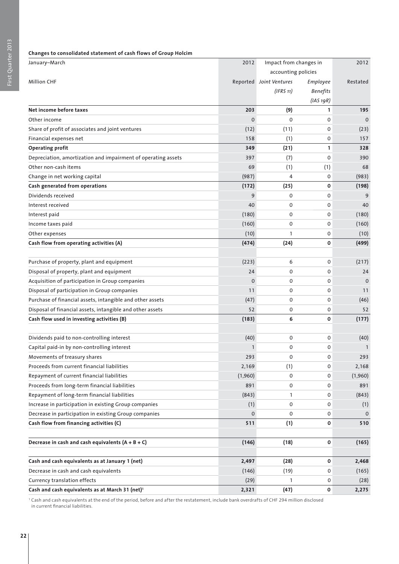| Changes to consolidated statement of cash flows of Group Holcim |              |                         |                     |              |
|-----------------------------------------------------------------|--------------|-------------------------|---------------------|--------------|
| January-March                                                   | 2012         | Impact from changes in  | 2012                |              |
|                                                                 |              |                         | accounting policies |              |
| <b>Million CHF</b>                                              |              | Reported Joint Ventures | Employee            | Restated     |
|                                                                 |              | (IFRS 11)               | <b>Benefits</b>     |              |
|                                                                 |              |                         | (IAS 19R)           |              |
| Net income before taxes                                         | 203          | (9)                     | 1                   | 195          |
| Other income                                                    | $\mathbf 0$  | $\mathbf 0$             | $\Omega$            | $\Omega$     |
| Share of profit of associates and joint ventures                | (12)         | (11)                    | 0                   | (23)         |
| Financial expenses net                                          | 158          | (1)                     | 0                   | 157          |
| <b>Operating profit</b>                                         | 349          | (21)                    | 1                   | 328          |
| Depreciation, amortization and impairment of operating assets   | 397          | (7)                     | $\Omega$            | 390          |
| Other non-cash items                                            | 69           | (1)                     | (1)                 | 68           |
| Change in net working capital                                   | (987)        | 4                       | $\Omega$            | (983)        |
| Cash generated from operations                                  | (172)        | (25)                    | 0                   | (198)        |
| Dividends received                                              | 9            | $\mathbf 0$             | 0                   | 9            |
| Interest received                                               | 40           | $\mathbf 0$             | 0                   | 40           |
| Interest paid                                                   | (180)        | $\mathbf 0$             | 0                   | (180)        |
| Income taxes paid                                               | (160)        | 0                       | 0                   | (160)        |
| Other expenses                                                  | (10)         | 1                       | 0                   | (10)         |
| Cash flow from operating activities (A)                         | (474)        | (24)                    | 0                   | (499)        |
|                                                                 |              |                         |                     |              |
| Purchase of property, plant and equipment                       | (223)        | 6                       | 0                   | (217)        |
| Disposal of property, plant and equipment                       | 24           | 0                       | 0                   | 24           |
| Acquisition of participation in Group companies                 | 0            | 0                       | 0                   | $\Omega$     |
| Disposal of participation in Group companies                    | 11           | $\mathbf 0$             | 0                   | 11           |
| Purchase of financial assets, intangible and other assets       | (47)         | 0                       | 0                   | (46)         |
| Disposal of financial assets, intangible and other assets       | 52           | 0                       | 0                   | 52           |
| Cash flow used in investing activities (B)                      | (183)        | 6                       | 0                   | (177)        |
|                                                                 |              |                         |                     |              |
| Dividends paid to non-controlling interest                      | (40)         | 0                       | 0                   | (40)         |
| Capital paid-in by non-controlling interest                     | 1            | 0                       | 0                   | $\mathbf{1}$ |
| Movements of treasury shares                                    | 293          | 0                       | 0                   | 293          |
| Proceeds from current financial liabilities                     | 2,169        | (1)                     | 0                   | 2,168        |
| Repayment of current financial liabilities                      | (1,960)      | 0                       | 0                   | (1,960)      |
| Proceeds from long-term financial liabilities                   | 891          | 0                       | 0                   | 891          |
| Repayment of long-term financial liabilities                    | (843)        | 1                       | 0                   | (843)        |
| Increase in participation in existing Group companies           | (1)          | 0                       | 0                   | (1)          |
| Decrease in participation in existing Group companies           | $\mathbf{O}$ | 0                       | 0                   | $\mathbf 0$  |
| Cash flow from financing activities (C)                         | 511          | (1)                     | 0                   | 510          |
|                                                                 |              |                         |                     |              |
| Decrease in cash and cash equivalents $(A + B + C)$             | (146)        | (18)                    | 0                   | (165)        |
|                                                                 |              |                         |                     |              |
| Cash and cash equivalents as at January 1 (net)                 | 2,497        | (28)                    | 0                   | 2,468        |
| Decrease in cash and cash equivalents                           | (146)        | (19)                    | 0                   | (165)        |
| Currency translation effects                                    | (29)         | 1                       | 0                   | (28)         |
| Cash and cash equivalents as at March 31 (net) <sup>1</sup>     | 2,321        | (47)                    | 0                   | 2,275        |

1 Cash and cash equivalents at the end of the period, before and after the restatement, include bank overdrafts of CHF 294 million disclosed in current financial liabilities.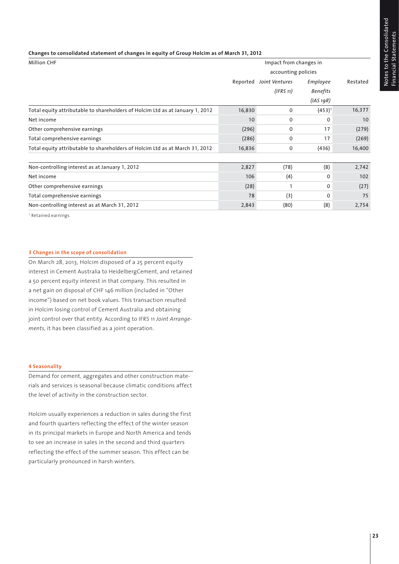### **Changes to consolidated statement of changes in equity of Group Holcim as of March 31, 2012**

| <b>Million CHF</b>                                                            | Impact from changes in |                     |                 |          |  |  |  |
|-------------------------------------------------------------------------------|------------------------|---------------------|-----------------|----------|--|--|--|
|                                                                               |                        | accounting policies |                 |          |  |  |  |
|                                                                               | Reported               | Joint Ventures      | Employee        | Restated |  |  |  |
|                                                                               |                        | (IFRS 11)           | <b>Benefits</b> |          |  |  |  |
|                                                                               |                        |                     | $(IAS_1qR)$     |          |  |  |  |
| Total equity attributable to shareholders of Holcim Ltd as at January 1, 2012 | 16,830                 | $\mathbf 0$         | $(453)^1$       | 16,377   |  |  |  |
| Net income                                                                    | 10                     | 0                   | 0               | 10       |  |  |  |
| Other comprehensive earnings                                                  | (296)                  | 0                   | 17              | (279)    |  |  |  |
| Total comprehensive earnings                                                  | (286)                  | $\mathbf 0$         | 17              | (269)    |  |  |  |
| Total equity attributable to shareholders of Holcim Ltd as at March 31, 2012  | 16,836                 | 0                   | (436)           | 16,400   |  |  |  |
|                                                                               |                        |                     |                 |          |  |  |  |
| Non-controlling interest as at January 1, 2012                                | 2,827                  | (78)                | (8)             | 2,742    |  |  |  |
| Net income                                                                    | 106                    | (4)                 | 0               | 102      |  |  |  |
| Other comprehensive earnings                                                  | (28)                   |                     | 0               | (27)     |  |  |  |
| Total comprehensive earnings                                                  | 78                     | (3)                 | 0               | 75       |  |  |  |
| Non-controlling interest as at March 31, 2012                                 | 2,843                  | (80)                | (8)             | 2,754    |  |  |  |

1 Retained earnings.

# **3 Changes in the scope of consolidation**

On March 28, 2013, Holcim disposed of a 25 percent equity interest in Cement Australia to HeidelbergCement, and retained a 50 percent equity interest in that company. This resulted in a net gain on disposal of CHF 146 million (included in "Other income") based on net book values. This transaction resulted in Holcim losing control of Cement Australia and obtaining joint control over that entity. According to IFRS 11 *Joint Arrangements*, it has been classified as a joint operation.

### **4 Seasonality**

Demand for cement, aggregates and other construction materials and services is seasonal because climatic conditions affect the level of activity in the construction sector.

Holcim usually experiences a reduction in sales during the first and fourth quarters reflecting the effect of the winter season in its principal markets in Europe and North America and tends to see an increase in sales in the second and third quarters reflecting the effect of the summer season. This effect can be particularly pronounced in harsh winters.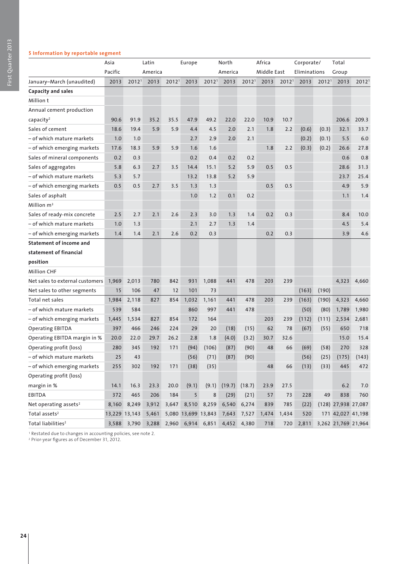# First Quarter 2013 First Quarter 2013

# **5 Information by reportable segment**

|                                   | Asia          |                   | Latin   |                   | Europe                  |         | North   |                   | Africa      |                   | Corporate/   |                   | Total               |                   |
|-----------------------------------|---------------|-------------------|---------|-------------------|-------------------------|---------|---------|-------------------|-------------|-------------------|--------------|-------------------|---------------------|-------------------|
|                                   | Pacific       |                   | America |                   |                         |         | America |                   | Middle East |                   | Eliminations |                   | Group               |                   |
| January-March (unaudited)         | 2013          | 2012 <sup>1</sup> | 2013    | 2012 <sup>1</sup> | 2013                    | 20121   | 2013    | 2012 <sup>1</sup> | 2013        | 2012 <sup>1</sup> | 2013         | 2012 <sup>1</sup> | 2013                | 2012 <sup>1</sup> |
| Capacity and sales                |               |                   |         |                   |                         |         |         |                   |             |                   |              |                   |                     |                   |
| Million t                         |               |                   |         |                   |                         |         |         |                   |             |                   |              |                   |                     |                   |
| Annual cement production          |               |                   |         |                   |                         |         |         |                   |             |                   |              |                   |                     |                   |
| capacity <sup>2</sup>             | 90.6          | 91.9              | 35.2    | 35.5              | 47.9                    | 49.2    | 22.0    | 22.0              | 10.9        | 10.7              |              |                   | 206.6               | 209.3             |
| Sales of cement                   | 18.6          | 19.4              | 5.9     | 5.9               | 4.4                     | 4.5     | 2.0     | 2.1               | 1.8         | 2.2               | (0.6)        | (0.3)             | 32.1                | 33.7              |
| – of which mature markets         | 1.0           | 1.0               |         |                   | 2.7                     | 2.9     | 2.0     | 2.1               |             |                   | (0.2)        | (0.1)             | 5.5                 | 6.0               |
| – of which emerging markets       | 17.6          | 18.3              | 5.9     | 5.9               | 1.6                     | 1.6     |         |                   | 1.8         | 2.2               | (0.3)        | (0.2)             | 26.6                | 27.8              |
| Sales of mineral components       | 0.2           | 0.3               |         |                   | 0.2                     | 0.4     | 0.2     | 0.2               |             |                   |              |                   | 0.6                 | 0.8               |
| Sales of aggregates               | 5.8           | 6.3               | 2.7     | 3.5               | 14.4                    | 15.1    | 5.2     | 5.9               | 0.5         | 0.5               |              |                   | 28.6                | 31.3              |
| – of which mature markets         | 5.3           | 5.7               |         |                   | 13.2                    | 13.8    | 5.2     | 5.9               |             |                   |              |                   | 23.7                | 25.4              |
| - of which emerging markets       | 0.5           | 0.5               | 2.7     | 3.5               | 1.3                     | 1.3     |         |                   | 0.5         | 0.5               |              |                   | 4.9                 | 5.9               |
| Sales of asphalt                  |               |                   |         |                   | 1.0                     | 1.2     | 0.1     | 0.2               |             |                   |              |                   | 1.1                 | 1.4               |
| Million $m3$                      |               |                   |         |                   |                         |         |         |                   |             |                   |              |                   |                     |                   |
| Sales of ready-mix concrete       | 2.5           | 2.7               | 2.1     | 2.6               | 2.3                     | 3.0     | 1.3     | 1.4               | 0.2         | 0.3               |              |                   | 8.4                 | 10.0              |
| – of which mature markets         | 1.0           | 1.3               |         |                   | 2.1                     | 2.7     | 1.3     | 1.4               |             |                   |              |                   | 4.5                 | 5.4               |
| - of which emerging markets       | 1.4           | 1.4               | 2.1     | 2.6               | 0.2                     | 0.3     |         |                   | 0.2         | 0.3               |              |                   | 3.9                 | 4.6               |
| <b>Statement of income and</b>    |               |                   |         |                   |                         |         |         |                   |             |                   |              |                   |                     |                   |
| statement of financial            |               |                   |         |                   |                         |         |         |                   |             |                   |              |                   |                     |                   |
| position                          |               |                   |         |                   |                         |         |         |                   |             |                   |              |                   |                     |                   |
| <b>Million CHF</b>                |               |                   |         |                   |                         |         |         |                   |             |                   |              |                   |                     |                   |
| Net sales to external customers   | 1,969         | 2,013             | 780     | 842               | 931                     | 1,088   | 441     | 478               | 203         | 239               |              |                   | 4,323               | 4,660             |
| Net sales to other segments       | 15            | 106               | 47      | 12                | 101                     | 73      |         |                   |             |                   | (163)        | (190)             |                     |                   |
| Total net sales                   | 1,984         | 2,118             | 827     | 854               | 1,032                   | 1,161   | 441     | 478               | 203         | 239               | (163)        | (190)             | 4,323               | 4,660             |
| - of which mature markets         | 539           | 584               |         |                   | 860                     | 997     | 441     | 478               |             |                   | (50)         | (80)              | 1,789               | 1,980             |
| - of which emerging markets       | 1,445         | 1,534             | 827     | 854               | 172                     | 164     |         |                   | 203         | 239               | (112)        | (111)             | 2,534               | 2,681             |
| <b>Operating EBITDA</b>           | 397           | 466               | 246     | 224               | 29                      | 20      | (18)    | (15)              | 62          | 78                | (67)         | (55)              | 650                 | 718               |
| Operating EBITDA margin in %      | 20.0          | 22.0              | 29.7    | 26.2              | 2.8                     | 1.8     | (4.0)   | (3.2)             | 30.7        | 32.6              |              |                   | 15.0                | 15.4              |
| Operating profit (loss)           | 280           | 345               | 192     | 171               | (94)                    | (106)   | (87)    | (90)              | 48          | 66                | (69)         | (58)              | 270                 | 328               |
| – of which mature markets         | 25            | 43                |         |                   | (56)                    | (71)    | (87)    | (90)              |             |                   | (56)         | (25)              | (175)               | (143)             |
| - of which emerging markets       | 255           | 302               | 192     | 171               | (38)                    | (35)    |         |                   | 48          | 66                | (13)         | (33)              | 445                 | 472               |
| Operating profit (loss)           |               |                   |         |                   |                         |         |         |                   |             |                   |              |                   |                     |                   |
| margin in %                       | 14.1          | 16.3              | 23.3    | 20.0              | (9.1)                   | (9.1)   | (19.7)  | (18.7)            | 23.9        | 27.5              |              |                   | 6.2                 | 7.0               |
| EBITDA                            | 372           | 465               | 206     | 184               | 5                       | $\bf 8$ | (29)    | (21)              | 57          | 73                | 228          | 49                | 838                 | 760               |
| Net operating assets <sup>2</sup> | 8,160         | 8,249             | 3,912   | 3,647             | 8,510                   | 8,259   | 6,540   | 6,274             | 839         | 785               | (22)         |                   | (128) 27,938 27,087 |                   |
| Total assets <sup>2</sup>         | 13,229 13,143 |                   | 5,461   |                   | 5,080 13,699 13,843     |         | 7,643   | 7,527             | 1,474       | 1,434             | 520          |                   | 171 42,027 41,198   |                   |
| Total liabilities <sup>2</sup>    |               | 3,588 3,790       |         |                   | 3,288 2,960 6,914 6,851 |         | 4,452   | 4,380             | 718         | 720               | 2,811        |                   | 3,262 21,769 21,964 |                   |

<sup>1</sup> Restated due to changes in accounting policies, see note 2.

2 Prior-year figures as of December 31, 2012.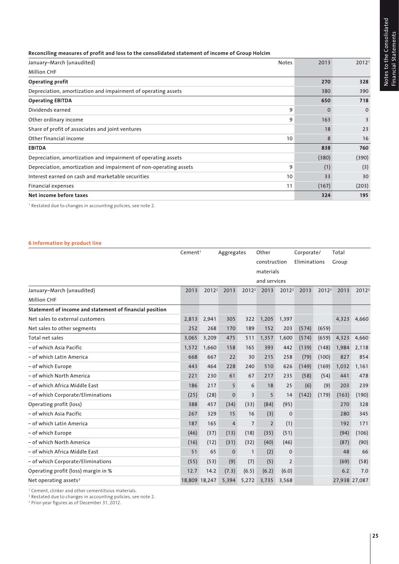# **Reconciling measures of profit and loss to the consolidated statement of income of Group Holcim**

| January-March (unaudited)                                         | <b>Notes</b> | 2013  | 2012 <sup>1</sup> |
|-------------------------------------------------------------------|--------------|-------|-------------------|
| <b>Million CHF</b>                                                |              |       |                   |
| <b>Operating profit</b>                                           |              | 270   | 328               |
| Depreciation, amortization and impairment of operating assets     |              | 380   | 390               |
| <b>Operating EBITDA</b>                                           |              | 650   | 718               |
| Dividends earned                                                  | 9            | 0     | $\mathbf{0}$      |
| Other ordinary income                                             | 9            | 163   | $\overline{3}$    |
| Share of profit of associates and joint ventures                  |              | 18    | 23                |
| Other financial income                                            | 10           | 8     | 16                |
| <b>EBITDA</b>                                                     |              | 838   | 760               |
| Depreciation, amortization and impairment of operating assets     |              | (380) | (390)             |
| Depreciation, amortization and impairment of non-operating assets | 9            | (1)   | (3)               |
| Interest earned on cash and marketable securities                 | 10           | 33    | 30                |
| Financial expenses                                                | 11           | (167) | (203)             |
| Net income before taxes                                           |              | 324   | 195               |

1 Restated due to changes in accounting policies, see note 2.

# **6 Information by product line**

|                                                         | Cement <sup>1</sup> |                   | Aggregates     |                   | Other          |                   | Corporate/   |                   | Total         |                   |
|---------------------------------------------------------|---------------------|-------------------|----------------|-------------------|----------------|-------------------|--------------|-------------------|---------------|-------------------|
|                                                         |                     |                   |                |                   | construction   |                   | Eliminations |                   | Group         |                   |
|                                                         |                     |                   |                |                   | materials      |                   |              |                   |               |                   |
|                                                         |                     |                   |                |                   | and services   |                   |              |                   |               |                   |
| January-March (unaudited)                               | 2013                | 2012 <sup>2</sup> | 2013           | 2012 <sup>2</sup> | 2013           | 2012 <sup>2</sup> | 2013         | 2012 <sup>2</sup> | 2013          | 2012 <sup>2</sup> |
| <b>Million CHF</b>                                      |                     |                   |                |                   |                |                   |              |                   |               |                   |
| Statement of income and statement of financial position |                     |                   |                |                   |                |                   |              |                   |               |                   |
| Net sales to external customers                         | 2,813               | 2,941             | 305            | 322               | 1,205          | 1,397             |              |                   | 4,323         | 4,660             |
| Net sales to other segments                             | 252                 | 268               | 170            | 189               | 152            | 203               | (574)        | (659)             |               |                   |
| Total net sales                                         | 3.065               | 3,209             | 475            | 511               | 1,357          | 1,600             | (574)        | (659)             | 4,323         | 4,660             |
| - of which Asia Pacific                                 | 1,572               | 1,660             | 158            | 165               | 393            | 442               | (139)        | (148)             | 1,984         | 2,118             |
| - of which Latin America                                | 668                 | 667               | 22             | 30                | 215            | 258               | (79)         | (100)             | 827           | 854               |
| - of which Europe                                       | 443                 | 464               | 228            | 240               | 510            | 626               | (149)        | (169)             | 1,032         | 1.161             |
| - of which North America                                | 221                 | 230               | 61             | 67                | 217            | 235               | (58)         | (54)              | 441           | 478               |
| - of which Africa Middle East                           | 186                 | 217               | 5              | 6                 | 18             | 25                | (6)          | (9)               | 203           | 239               |
| - of which Corporate/Eliminations                       | (25)                | (28)              | 0              | 3                 | 5              | 14                | (142)        | (179)             | (163)         | (190)             |
| Operating profit (loss)                                 | 388                 | 457               | (34)           | (33)              | (84)           | (95)              |              |                   | 270           | 328               |
| - of which Asia Pacific                                 | 267                 | 329               | 15             | 16                | (3)            | $\mathbf 0$       |              |                   | 280           | 345               |
| - of which Latin America                                | 187                 | 165               | $\overline{4}$ | $\overline{7}$    | $\overline{2}$ | (1)               |              |                   | 192           | 171               |
| - of which Europe                                       | (46)                | (37)              | (13)           | (18)              | (35)           | (51)              |              |                   | (94)          | (106)             |
| - of which North America                                | (16)                | (12)              | (31)           | (32)              | (40)           | (46)              |              |                   | (87)          | (90)              |
| - of which Africa Middle East                           | 51                  | 65                | $\mathbf 0$    | $\mathbf{1}$      | (2)            | $\boldsymbol{0}$  |              |                   | 48            | 66                |
| - of which Corporate/Eliminations                       | (55)                | (53)              | (9)            | (7)               | (5)            | $\overline{2}$    |              |                   | (69)          | (58)              |
| Operating profit (loss) margin in %                     | 12.7                | 14.2              | (7.3)          | (6.5)             | (6.2)          | (6.0)             |              |                   | 6.2           | 7.0               |
| Net operating assets <sup>3</sup>                       | 18,809 18,247       |                   | 5,394          | 5,272             | 3,735          | 3,568             |              |                   | 27,938 27,087 |                   |

1 Cement, clinker and other cementitious materials.

<sup>2</sup> Restated due to changes in accounting policies, see note 2.

3 Prior-year figures as of December 31, 2012.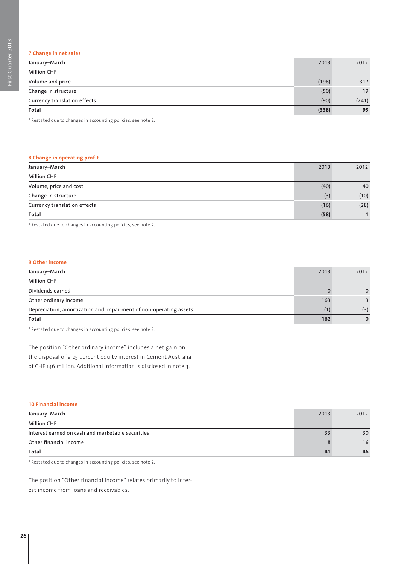# **7 Change in net sales**

| January-March                | 2013  | 2012 <sup>1</sup> |
|------------------------------|-------|-------------------|
| <b>Million CHF</b>           |       |                   |
| Volume and price             | (198) | 317               |
| Change in structure          | (50)  | 19                |
| Currency translation effects | (90)  | (241)             |
| Total                        | (338) | 95                |

1 Restated due to changes in accounting policies, see note 2.

# **8 Change in operating profit**

| January-March                | 2013 | 2012 <sup>1</sup> |
|------------------------------|------|-------------------|
| <b>Million CHF</b>           |      |                   |
| Volume, price and cost       | (40) | 40                |
| Change in structure          | (3)  | (10)              |
| Currency translation effects | (16) | (28)              |
| Total                        | (58) |                   |

1 Restated due to changes in accounting policies, see note 2.

# **9 Other income**

| January-March                                                     | 2013 | 2012 <sup>1</sup> |
|-------------------------------------------------------------------|------|-------------------|
| <b>Million CHF</b>                                                |      |                   |
| Dividends earned                                                  |      | $\Omega$          |
| Other ordinary income                                             | 163  |                   |
| Depreciation, amortization and impairment of non-operating assets |      | (3)               |
| Total                                                             | 162  | $\Omega$          |

1 Restated due to changes in accounting policies, see note 2.

The position "Other ordinary income" includes a net gain on the disposal of a 25 percent equity interest in Cement Australia of CHF 146 million. Additional information is disclosed in note 3.

### **10 Financial income**

| January-March                                     | 2013 | 2012 <sup>1</sup> |
|---------------------------------------------------|------|-------------------|
| <b>Million CHF</b>                                |      |                   |
| Interest earned on cash and marketable securities |      | 30                |
| Other financial income                            |      | 16                |
| Total                                             | 4    | 46                |

1 Restated due to changes in accounting policies, see note 2.

The position "Other financial income" relates primarily to interest income from loans and receivables.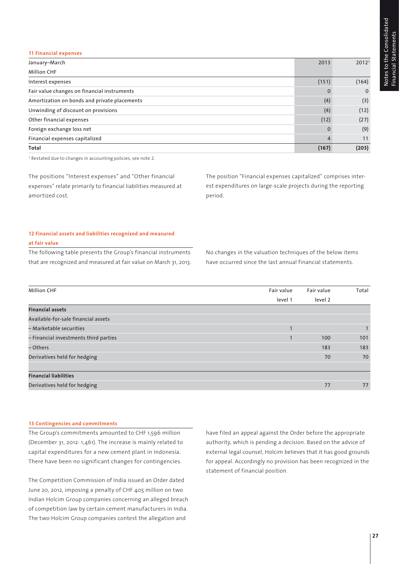### **11 Financial expenses**

| January-March                                | 2013     | 2012 <sup>1</sup> |
|----------------------------------------------|----------|-------------------|
| <b>Million CHF</b>                           |          |                   |
| Interest expenses                            | (151)    | (164)             |
| Fair value changes on financial instruments  |          | $\mathbf 0$       |
| Amortization on bonds and private placements | (4)      | (3)               |
| Unwinding of discount on provisions          | (4)      | (12)              |
| Other financial expenses                     | (12)     | (27)              |
| Foreign exchange loss net                    | $\Omega$ | (9)               |
| Financial expenses capitalized               | 4        | 11                |
| Total                                        | (167)    | (203)             |

<sup>1</sup> Restated due to changes in accounting policies, see note 2.

The positions "Interest expenses" and "Other financial expenses" relate primarily to financial liabilities measured at amortized cost.

The position "Financial expenses capitalized" comprises interest expenditures on large-scale projects during the reporting period.

# **12 Financial assets and liabilities recognized and measured**

### **at fair value**

The following table presents the Group's financial instruments that are recognized and measured at fair value on March 31, 2013.

No changes in the valuation techniques of the below items have occurred since the last annual financial statements.

| <b>Million CHF</b>                    | Fair value | Fair value | Total |
|---------------------------------------|------------|------------|-------|
|                                       | level 1    | level 2    |       |
| <b>Financial assets</b>               |            |            |       |
| Available-for-sale financial assets   |            |            |       |
| - Marketable securities               |            |            |       |
| - Financial investments third parties |            | 100        | 101   |
| – Others                              |            | 183        | 183   |
| Derivatives held for hedging          |            | 70         | 70    |
|                                       |            |            |       |
| <b>Financial liabilities</b>          |            |            |       |
| Derivatives held for hedging          |            | 77         | 77    |

#### **13 Contingencies and commitments**

The Group's commitments amounted to CHF 1,596 million (December 31, 2012: 1,461). The increase is mainly related to capital expenditures for a new cement plant in Indonesia. There have been no significant changes for contingencies.

The Competition Commission of India issued an Order dated June 20, 2012, imposing a penalty of CHF 405 million on two Indian Holcim Group companies concerning an alleged breach of competition law by certain cement manufacturers in India. The two Holcim Group companies contest the allegation and

have filed an appeal against the Order before the appropriate authority, which is pending a decision. Based on the advice of external legal counsel, Holcim believes that it has good grounds for appeal. Accordingly no provision has been recognized in the statement of financial position.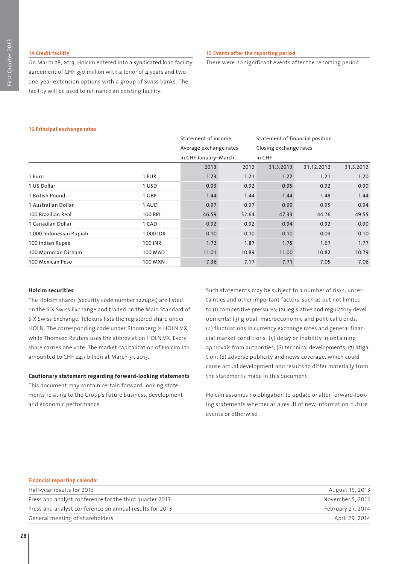# **14 Credit facility**

On March 28, 2013, Holcim entered into a syndicated loan facility agreement of CHF 350 million with a tenor of  $\Delta$  years and two one-year extension options with a group of Swiss banks. The facility will be used to refinance an existing facility.

# **15 Events after the reporting period**

There were no significant events after the reporting period.

# **16 Principal exchange rates**

|                         |                | Statement of income    |       | Statement of financial position |            |           |
|-------------------------|----------------|------------------------|-------|---------------------------------|------------|-----------|
|                         |                | Average exchange rates |       | Closing exchange rates          |            |           |
|                         |                | in CHF January-March   |       | in CHF                          |            |           |
|                         |                | 2013                   | 2012  | 31.3.2013                       | 31.12.2012 | 31.3.2012 |
| 1 Euro                  | 1 EUR          | 1.23                   | 1.21  | 1.22                            | 1.21       | 1.20      |
| 1 US Dollar             | 1 USD          | 0.93                   | 0.92  | 0.95                            | 0.92       | 0.90      |
| 1 British Pound         | 1 GBP          | 1.44                   | 1.44  | 1.44                            | 1.48       | 1.44      |
| 1 Australian Dollar     | 1 AUD          | 0.97                   | 0.97  | 0.99                            | 0.95       | 0.94      |
| 100 Brazilian Real      | <b>100 BRL</b> | 46.59                  | 52.64 | 47.33                           | 44.76      | 49.55     |
| 1 Canadian Dollar       | 1 CAD          | 0.92                   | 0.92  | 0.94                            | 0.92       | 0.90      |
| 1,000 Indonesian Rupiah | 1,000 IDR      | 0.10                   | 0.10  | 0.10                            | 0.09       | 0.10      |
| 100 Indian Rupee        | 100 INR        | 1.72                   | 1.87  | 1.75                            | 1.67       | 1.77      |
| 100 Moroccan Dirham     | <b>100 MAD</b> | 11.01                  | 10.89 | 11.00                           | 10.82      | 10.79     |
| 100 Mexican Peso        | 100 MXN        | 7.36                   | 7.17  | 7.71                            | 7.05       | 7.06      |

# **Holcim securities**

The Holcim shares (security code number 1221405) are listed on the SIX Swiss Exchange and traded on the Main Standard of SIX Swiss Exchange. Telekurs lists the registered share under HOLN. The corresponding code under Bloomberg is HOLN VX, while Thomson Reuters uses the abbreviation HOLN.VX. Every share carries one vote. The market capitalization of Holcim Ltd amounted to CHF 24.7 billion at March 31, 2013.

### **Cautionary statement regarding forward-looking statements**

This document may contain certain forward-looking statements relating to the Group's future business, development and economic performance.

Such statements may be subject to a number of risks, uncertainties and other important factors, such as but not limited to (1) competitive pressures; (2) legislative and regulatory developments; (3) global, macroeconomic and political trends; (4) fluctuations in currency exchange rates and general financial market conditions; (5) delay or inability in obtaining approvals from authorities; (6) technical developments; (7) litigation; (8) adverse publicity and news coverage, which could cause actual development and results to differ materially from the statements made in this document.

Holcim assumes no obligation to update or alter forward-looking statements whether as a result of new information, future events or otherwise.

### **Financial reporting calendar**

| Half-year results for 2013                              | August 15, 2013   |
|---------------------------------------------------------|-------------------|
| Press and analyst conference for the third quarter 2013 | November 5, 2013  |
| Press and analyst conference on annual results for 2013 | February 27, 2014 |
| General meeting of shareholders                         | April 29, 2014    |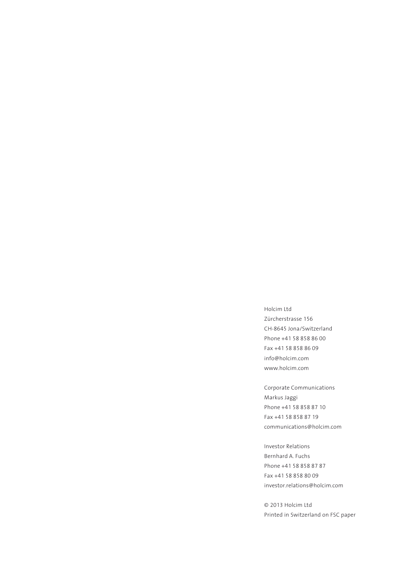Holcim Ltd Zürcherstrasse 156 CH-8645 Jona/Switzerland Phone +41 58 858 86 00 Fax +41 58 858 86 09 info@holcim.com www.holcim.com

Corporate Communications Markus Jaggi Phone +41 58 858 87 10 Fax +41 58 858 87 19 communications@holcim.com

Investor Relations Bernhard A. Fuchs Phone +41 58 858 87 87 Fax +41 58 858 80 09 investor.relations@holcim.com

© 2013 Holcim Ltd Printed in Switzerland on FSC paper